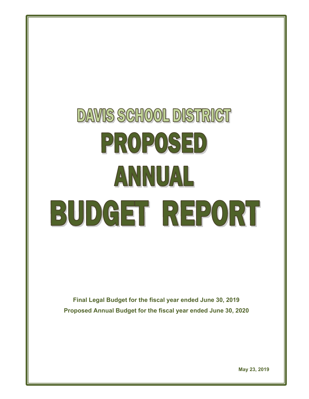# **DAVIS SCHOOL DISTRICT** PROPOSED ANNUAL BUDGET REPORT

**Final Legal Budget for the fiscal year ended June 30, 2019 Proposed Annual Budget for the fiscal year ended June 30, 2020**

**May 23, 2019**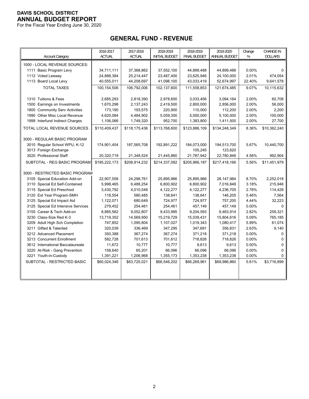For the Fiscal Year Ending June 30, 2020

# **GENERAL FUND - REVENUE**

|                                    | 2016-2017     | 2017-2018     | 2018-2019             | 2018-2019           | 2019-2020     | Change | <b>CHANGE IN</b> |
|------------------------------------|---------------|---------------|-----------------------|---------------------|---------------|--------|------------------|
| <b>Account Category</b>            | <b>ACTUAL</b> | <b>ACTUAL</b> | <b>INITIAL BUDGET</b> | <b>FINAL BUDGET</b> | ANNUAL BUDGET | %      | <b>DOLLARS</b>   |
| 1000 - LOCAL REVENUE SOURCES:      |               |               |                       |                     |               |        |                  |
| 1111 Basic Program Levy            | 34,711,111    | 37,368,862    | 37,552,100            | 44,899,488          | 44,899,488    | 0.00%  | $\Omega$         |
| 1112 Voted Leeway                  | 24,888,384    | 25,214,447    | 23,487,400            | 23,625,946          | 24,100,000    | 2.01%  | 474,054          |
| 1113 Board Local Levy              | 40,555,011    | 44,208,697    | 41,098,100            | 43,033,419          | 52,674,997    | 22.40% | 9,641,578        |
| <b>TOTAL TAXES</b>                 | 100,154,506   | 106,792,006   | 102,137,600           | 111,558,853         | 121,674,485   | 9.07%  | 10,115,632       |
| 1310 Tuitions & Fees               | 2,685,293     | 2,818,390     | 2,978,600             | 3,033,456           | 3,094,164     | 2.00%  | 60,708           |
| 1500 Earnings on Investments       | 1,670,298     | 2,137,243     | 2,419,500             | 2,800,000           | 2,856,000     | 2.00%  | 56,000           |
| 1800 Community Serv Activities     | 173,190       | 193,575       | 220,900               | 110,000             | 112,200       | 2.00%  | 2,200            |
| 1990 Other Misc Local Revenue      | 4,620,084     | 4,484,902     | 5,059,300             | 5,000,000           | 5,100,000     | 2.00%  | 100,000          |
| 1999 Interfund Indirect Charges    | 1,106,066     | 1,749,320     | 952,700               | 1,383,800           | 1,411,500     | 2.00%  | 27,700           |
| TOTAL LOCAL REVENUE SOURCES        | \$110,409,437 | \$118,175,436 | \$113,768,600         | \$123,886,109       | \$134,248,349 | 8.36%  | \$10,362,240     |
| 3000 - REGULAR BASIC PROGRAM       |               |               |                       |                     |               |        |                  |
| 3010 Regular School WPU, K-12      | 174,901,454   | 187,565,708   | 192,891,222           | 184,073,000         | 194,513,700   | 5.67%  | 10,440,700       |
| 3013 Foreign Exchange              |               |               |                       | 105,245             | 123,620       |        |                  |
| 3020 Professional Staff            | 20,320,719    | 21,348,524    | 21,445,860            | 21,787,942          | 22,780,846    | 4.56%  | 992,904          |
| SUBTOTAL - REG BASIC PROGRAM       | \$195,222,173 | \$208,914,232 | \$214.337.082         | \$205.966.187       | \$217.418.166 | 5.56%  | \$11,451,979     |
|                                    |               |               |                       |                     |               |        |                  |
| 3000 - RESTRICTED BASIC PROGRAM    |               |               |                       |                     |               |        |                  |
| 3105 Special Education Add-on      | 22,907,558    | 24,298,761    | 25,895,966            | 25,895,966          | 28, 147, 984  | 8.70%  | 2,252,018        |
| 3110 Special Ed Self-Contained     | 5,998,465     | 6,488,254     | 6,800,902             | 6,800,902           | 7,016,848     | 3.18%  | 215,946          |
| 3115 Special Ed Preschool          | 3,430,792     | 4,010,548     | 4,122,277             | 4,122,277           | 4,236,705     | 2.78%  | 114,428          |
| 3120 Ext Year Program-SMH          | 118,554       | 580,485       | 138,641               | 138,641             | 146,205       | 5.46%  | 7,564            |
| 3125 Special Ed Impact Aid         | 1,122,071     | 680,649       | 724,977               | 724,977             | 757,200       | 4.44%  | 32,223           |
| 3125 Special Ed Intensive Services | 279,452       | 254,461       | 254,461               | 457,149             | 457,149       | 0.00%  | $\Omega$         |
| 3155 Career & Tech Add-on          | 8,885,562     | 9,052,807     | 9,433,995             | 9,204,593           | 9,463,914     | 2.82%  | 259,321          |
| 3230 Class-Size Red K-3            | 13,719,352    | 14,569,950    | 15,219,729            | 15,039,431          | 15,804,616    | 5.09%  | 765,185          |
| 3209 Adult High Sch Completion     | 747,852       | 1,095,804     | 1,107,027             | 1,019,343           | 1,080,417     | 5.99%  | 61,074           |
| 3211 Gifted & Talented             | 320,039       | 336,469       | 347,295               | 347,691             | 356,831       | 2.63%  | 9,140            |
| 3212 Advanced Placement            | 350,388       | 367,274       | 367,274               | 371,218             | 371,218       | 0.00%  | $\mathbf 0$      |
| 3213 Concurrent Enrollment         | 582,728       | 701,613       | 701,612               | 718,826             | 718,826       | 0.00%  | $\mathbf 0$      |
| 3612 International Baccalaureate   | 11,672        | 10,777        | 10,777                | 9,613               | 9,613         | 0.00%  | $\Omega$         |
| 3220 At-Risk - Gang Prevention     | 158,640       | 65,201        | 66,096                | 66,096              | 66,096        | 0.00%  | 0                |
| 3221 Youth-in-Custody              | 1,391,221     | 1,206,968     | 1,355,173             | 1,353,238           | 1,353,238     | 0.00%  | 0                |
| SUBTOTAL - RESTRICTED BASIC        | \$60,024,346  | \$63,720,021  | \$66,546,202          | \$66,269,961        | \$69,986,860  | 5.61%  | \$3,716,899      |
|                                    |               |               |                       |                     |               |        |                  |
|                                    |               |               |                       |                     |               |        |                  |
|                                    |               |               |                       |                     |               |        |                  |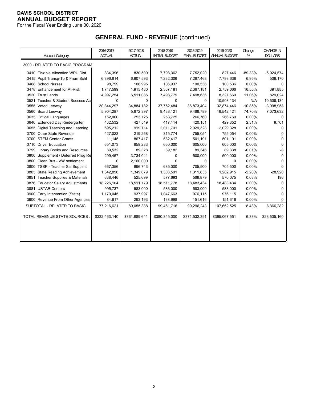For the Fiscal Year Ending June 30, 2020

# **GENERAL FUND - REVENUE** (continued)

|                                    | 2016-2017     | 2017-2018     | 2018-2019             | 2018-2019           | 2019-2020     | Change    | <b>CHANGE IN</b> |
|------------------------------------|---------------|---------------|-----------------------|---------------------|---------------|-----------|------------------|
| <b>Account Category</b>            | <b>ACTUAL</b> | <b>ACTUAL</b> | <b>INITIAL BUDGET</b> | <b>FINAL BUDGET</b> | ANNUAL BUDGET | %         | <b>DOLLARS</b>   |
| 3000 - RELATED TO BASIC PROGRAM    |               |               |                       |                     |               |           |                  |
| 3410 Flexible Allocation WPU Dist  | 834,396       | 830,500       | 7,798,362             | 7,752,020           | 827,446       | $-89.33%$ | $-6,924,574$     |
| 3415 Pupil Transp-To & From Schl   | 6,896,814     | 6,907,593     | 7,232,306             | 7,287,468           | 7,793,638     | 6.95%     | 506,170          |
| 3468 School Nurses                 | 98,799        | 106,995       | 106,937               | 100,536             | 100,536       | 0.00%     | 0                |
| 3478 Enhancement for At-Risk       | 1,747,599     | 1,915,480     | 2,367,181             | 2,367,181           | 2,759,066     | 16.55%    | 391,885          |
| 3520 Trust Lands                   | 4,997,254     | 6,511,086     | 7,498,779             | 7,498,636           | 8,327,660     | 11.06%    | 829,024          |
| 3521 Teacher & Student Success Act | 0             | 0             | $\Omega$              | 0                   | 10,508,134    | N/A       | 10,508,134       |
| 3555 Voted Leeway                  | 30,844,297    | 34,884,182    | 37,752,484            | 36,873,404          | 32,874,446    | $-10.85%$ | $-3,998,958$     |
| 3560 Board Leeway                  | 5,904,287     | 5,672,397     | 9,438,121             | 9,468,789           | 16,542,421    | 74.70%    | 7,073,632        |
| 3635 Critical Languages            | 162,000       | 253,725       | 253,725               | 266,760             | 266,760       | 0.00%     | 0                |
| 3640 Extended Day Kindergarten     | 432,532       | 427,549       | 417,114               | 420,151             | 429,852       | 2.31%     | 9,701            |
| 3655 Digital Teaching and Learning | 695,212       | 919,114       | 2,011,701             | 2,029,328           | 2,029,328     | 0.00%     | 0                |
| 3700 Other State Revenue           | 427,023       | 219,258       | 315,774               | 755,054             | 755,054       | 0.00%     | $\Omega$         |
| 3700 STEM Center Grants            | 11,145        | 867,417       | 682,417               | 501,191             | 501,191       | 0.00%     | $\Omega$         |
| 3710 Driver Education              | 651,073       | 659,233       | 650,000               | 605,000             | 605,000       | 0.00%     | $\Omega$         |
| 3799 Library Books and Resources   | 89,532        | 89,328        | 89,182                | 89,346              | 89,338        | $-0.01%$  | -8               |
| 3800 Supplement / Deferred Prog Re | 299,457       | 3,734,041     | $\Omega$              | 500,000             | 500,000       | 0.00%     | $\Omega$         |
| 3800 Clean Bus - VW settlement     | 0             | 2,160,000     | $\Omega$              | 0                   | 0             | 0.00%     | $\Omega$         |
| 3800 TSSP - Teacher Sal Supplmt    | 667,356       | 696,743       | 685,000               | 705,500             | 705,500       | 0.00%     | $\Omega$         |
| 3805 State Reading Achievement     | 1,342,896     | 1,349,079     | 1,303,501             | 1,311,835           | 1,282,915     | $-2.20%$  | $-28,920$        |
| 3851 Teacher Supplies & Materials  | 638,446       | 525,699       | 577,693               | 569,879             | 570,075       | 0.03%     | 196              |
| 3876 Educator Salary Adjustments   | 18,226,104    | 18,511,779    | 18,511,778            | 18,483,434          | 18,483,434    | 0.00%     | $\Omega$         |
| 3881 USTAR Centers                 | 995,737       | 583,000       | 583,000               | 583,000             | 583,000       | 0.00%     | <sup>0</sup>     |
| 3900 Early Intervention (State)    | 1,170,045     | 937,997       | 1,047,663             | 976,115             | 976,115       | 0.00%     | 0                |
| 3900 Revenue From Other Agencies   | 84,617        | 293,193       | 138,998               | 151,616             | 151,616       | 0.00%     | $\Omega$         |
| SUBTOTAL - RELATED TO BASIC        | 77,216,621    | 89,055,388    | 99,461,716            | 99,296,243          | 107,662,525   | 8.43%     | 8,366,282        |
| TOTAL REVENUE STATE SOURCES        | \$332,463,140 | \$361,689,641 | \$380,345,000         | \$371,532,391       | \$395,067,551 | 6.33%     | \$23,535,160     |
|                                    |               |               |                       |                     |               |           |                  |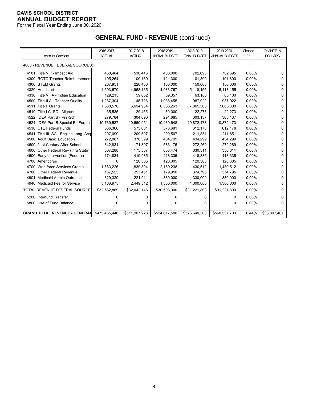For the Fiscal Year Ending June 30, 2020

# **GENERAL FUND - REVENUE** (continued)

|                                          | 2016-2017     | 2017-2018     | 2018-2019             | 2018-2019           | 2019-2020     | Change   | <b>CHANGE IN</b> |
|------------------------------------------|---------------|---------------|-----------------------|---------------------|---------------|----------|------------------|
| <b>Account Category</b>                  | <b>ACTUAL</b> | <b>ACTUAL</b> | <b>INITIAL BUDGET</b> | <b>FINAL BUDGET</b> | ANNUAL BUDGET | %        | <b>DOLLARS</b>   |
| 4000 - REVENUE FEDERAL SOURCES:          |               |               |                       |                     |               |          |                  |
| 4101 Title VIII - Impact Aid             | 458,464       | 536,446       | 400,000               | 702.695             | 702.695       | $0.00\%$ | 0                |
| 4300 ROTC Teacher Reimbursement          | 105,264       | 109,160       | 121,300               | 101,890             | 101,890       | 0.00%    | 0                |
| 4300 STEM Grants                         | 207,951       | 220,406       | 100,000               | 150,000             | 150,000       | 0.00%    | 0                |
| 4320 Headstart                           | 4,593,679     | 4,968,165     | 4,983,767             | 5,118,155           | 5,118,155     | 0.00%    | 0                |
| 4330 Title VII A - Indian Education      | 129,215       | 59,662        | 59,357                | 63,100              | 63,100        | 0.00%    | 0                |
| Title II A - Teacher Quality<br>4500     | 1,287,304     | 1,145,728     | 1,038,455             | 987.922             | 987.922       | 0.00%    | U                |
| Title I Grants<br>4511                   | 7,538,576     | 6,694,954     | 6,356,263             | 7,065,300           | 7,065,300     | 0.00%    | 0                |
| 4519 Title I C SC - Migrant              | 35,535        | 29,465        | 30,000                | 22,273              | 22,273        | 0.00%    | 0                |
| 4522 IDEA Part B - Pre-Schl              | 279,784       | 304,090       | 291,685               | 303,137             | 303,137       | 0.00%    | 0                |
| 4524 IDEA Part B Special Ed Formula      | 10,739,537    | 10,660,951    | 10,430,648            | 10,872,473          | 10,872,473    | 0.00%    | 0                |
| 4530 CTE Federal Funds                   | 566,366       | 573,681       | 573,681               | 612,178             | 612,178       | 0.00%    | 0                |
| 4541 Title III SC - English Lang. Acq    | 207,099       | 209,507       | 209,507               | 211,851             | 211,851       | $0.00\%$ | 0                |
| 4580 Adult Basic Education               | 272,087       | 378,399       | 404,799               | 434,299             | 434,299       | 0.00%    | 0                |
| 4600 21st Century After School           | 342,831       | 171,897       | 583,176               | 272,269             | 272,269       | $0.00\%$ | 0                |
| Other Federal Rev (thru State)<br>4600   | 507,288       | 175,357       | 603,474               | 330,311             | 330,311       | 0.00%    | U                |
| 4600<br>Early Intervention (Federal)     | 174,834       | 419,985       | 218,335               | 418,335             | 418,335       | 0.00%    | 0                |
| 4700 Americorps                          | 0             | 120,305       | 120,305               | 120,305             | 120,305       | 0.00%    | 0                |
| <b>Workforce Services Grants</b><br>4700 | 1,563,226     | 1,839,304     | 2,169,238             | 1,430,512           | 1,430,512     | 0.00%    | 0                |
| <b>Other Federal Revenue</b><br>4700     | 137,525       | 753,461       | 179,910               | 374,795             | 374,795       | 0.00%    | 0                |
| Medicaid Admin Outreach<br>4901          | 329,329       | 221,911       | 330,000               | 330,000             | 330,000       | 0.00%    | 0                |
| 4940 Medicaid Fee for Service            | 3,106,975     | 2,449,312     | 1,300,000             | 1,300,000           | 1,300,000     | 0.00%    | 0                |
| <b>TOTAL REVENUE FEDERAL SOURCE:</b>     | \$32,582,869  | \$32,042,146  | \$30,503,900          | \$31,221,800        | \$31,221,800  | 0.00%    | $\Omega$         |
| 5200 Interfund Transfer                  | 0             | 0             | 0                     | 0                   | 0             | 0.00%    | 0                |
| 5800 Use of Fund Balance                 | $\Omega$      | $\Omega$      | $\Omega$              | $\Omega$            | 0             | $0.00\%$ | 0                |
| <b>GRAND TOTAL REVENUE - GENERALL</b>    | \$475.455.446 | \$511,907,223 | \$524,617,500         | \$526,640,300       | \$560,537,700 | 6.44%    | \$33,897,401     |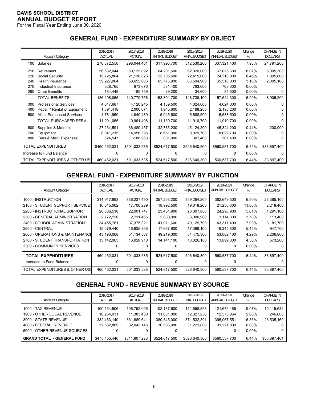For the Fiscal Year Ending June 30, 2020

## **GENERAL FUND - EXPENDITURE SUMMARY BY OBJECT**

|     | <b>Account Category</b>        | 2016-2017<br><b>ACTUAL</b> | 2017-2018<br><b>ACTUAL</b> | 2018-2019<br><b>INITIAL BUDGET</b> | 2018-2019<br><b>FINAL BUDGET</b> | 2019-2020<br>ANNUAL BUDGET | Change<br>% | <b>CHANGE IN</b><br><b>DOLLARS</b> |
|-----|--------------------------------|----------------------------|----------------------------|------------------------------------|----------------------------------|----------------------------|-------------|------------------------------------|
| 100 | <b>Salaries</b>                | 276,872,558                | 298,044,481                | 317,996,700                        | 312,530,200                      | 337,321,400                | 7.93%       | 24,791,200                         |
|     |                                |                            |                            |                                    |                                  |                            |             |                                    |
| 210 | Retirement                     | 56,532,044                 | 60,125,892                 | 64,201,600                         | 62,020,000                       | 67,025,300                 | 8.07%       | 5,005,300                          |
| 220 | Social Security                | 19,725,804                 | 21,138,823                 | 22,705,600                         | 22,415,000                       | 24,310,800                 | 8.46%       | 1,895,800                          |
| 240 | Health Insurance               | 59,227,004                 | 58,655,606                 | 65,773,900                         | 63,504,900                       | 65,510,000                 | 3.16%       | 2,005,100                          |
| 270 | Industrial Insurance           | 528,765                    | 673,676                    | 531,400                            | 763,600                          | 763,600                    | $0.00\%$    |                                    |
| 280 | <b>Other Benefits</b>          | 184,448                    | 185,759                    | 89,200                             | 34,600                           | 34,600                     | $0.00\%$    |                                    |
|     | <b>TOTAL BENEFITS</b>          | 136,198,065                | 140,779,756                | 153,301,700                        | 148,738,100                      | 157,644,300                | 5.99%       | 8,906,200                          |
| 300 | <b>Professional Services</b>   | 4,617,687                  | 4,120,245                  | 4,139,500                          | 4,024,000                        | 4,024,000                  | $0.00\%$    |                                    |
| 400 | Repair / Rental of Equipment   | 1,891,418                  | 2,000,674                  | 1,945,600                          | 2,198,200                        | 2,198,200                  | $0.00\%$    |                                    |
| 500 | Misc. Purchased Services       | 4,781,950                  | 4,840,489                  | 5,045,600                          | 5,688,500                        | 5,688,500                  | 0.00%       |                                    |
|     | TOTAL PURCHASED SERV.          | 11,291,055                 | 10,961,408                 | 11,130,700                         | 11,910,700                       | 11,910,700                 | $0.00\%$    | 0                                  |
| 600 | Supplies & Materials           | 27,234,591                 | 36,480,457                 | 32,735,200                         | 45,124,200                       | 45,324,200                 | 0.44%       | 200,000                            |
| 700 | Equipment                      | 8,041,215                  | 14,956,396                 | 8,651,300                          | 8,029,700                        | 8,029,700                  | $0.00\%$    |                                    |
| 800 | Fees & Misc. Expenses          | 824,547                    | $-188,963$                 | 801,900                            | 307,400                          | 307,400                    | $0.00\%$    |                                    |
|     |                                |                            |                            |                                    |                                  |                            |             |                                    |
|     | <b>TOTAL EXPENDITURES</b>      | \$460,462,031              | \$501,033,535              | \$524,617,500                      | \$526,640,300                    | \$560,537,700              | 6.44%       | \$33,897,400                       |
|     | Increase to Fund Balance       | 0                          | O                          | 0                                  | 0                                | $\Omega$                   | $0.00\%$    |                                    |
|     | TOTAL EXPENDITURES & OTHER USE | 460,462,031                | 501,033,535                | 524,617,500                        | 526,640,300                      | 560,537,700                | 6.44%       | 33,897,400                         |

# **GENERAL FUND - EXPENDITURE SUMMARY BY FUNCTION**

|                                 | 2016-2017     | 2017-2018     | 2018-2019             | 2018-2019           | 2019-2020     | Change   | <b>CHANGE IN</b> |
|---------------------------------|---------------|---------------|-----------------------|---------------------|---------------|----------|------------------|
| <b>Account Category</b>         | <b>ACTUAL</b> | <b>ACTUAL</b> | <b>INITIAL BUDGET</b> | <b>FINAL BUDGET</b> | ANNUAL BUDGET | %        | <b>DOLLARS</b>   |
| 1000 - INSTRUCTION              | 314,917,993   | 336,237,490   | 357,253,200           | 359,284,200         | 382,649,300   | 6.50%    | 23,365,100       |
| 2100 - STUDENT SUPPORT SERVICES | 16,015,062    | 17,708,229    | 18,992,500            | 19,018,200          | 21,236,600    | 11.66%   | 2,218,400        |
| 2200 - INSTRUCTIONAL SUPPORT    | 20,886,518    | 22,001,747    | 23,451,900            | 23,007,800          | 24,298,900    | 5.61%    | 1,291,100        |
| 2300 - GENERAL ADMINISTRATION   | 2,772,126     | 2,711,466     | 2,880,000             | 3,000,900           | 3,114,300     | 3.78%    | 113,400          |
| 2400 - SCHOOL ADMINISTRATION    | 34,455,761    | 37,375,321    | 41,011,600            | 40,129,700          | 43,311,400    | 7.93%    | 3,181,700        |
| 2500 - CENTRAL                  | 15,079,440    | 16,935,865    | 17,667,900            | 17,398,100          | 18,345,800    | 5.45%    | 947,700          |
| 2600 - OPERATIONS & MAINTENANCE | 43,193,068    | 51,134,507    | 49,219,300            | 51,475,300          | 53,682,100    | 4.29%    | 2,206,800        |
| 2700 - STUDENT TRANSPORTATION   | 13,142,063    | 16,928,910    | 14, 141, 100          | 13,326,100          | 13,899,300    | 4.30%    | 573,200          |
| 3300 - COMMUNITY SERVICES       |               |               |                       |                     | 0             | $0.00\%$ |                  |
| <b>TOTAL EXPENDITURES</b>       | 460,462,031   | 501,033,535   | 524,617,500           | 526,640,300         | 560,537,700   | 6.44%    | 33,897,400       |
| Increase to Fund Balance        |               |               |                       |                     | 0             |          |                  |
| TOTAL EXPENDITURES & OTHER USI  | 460.462.031   | 501,033,535   | 524.617.500           | 526.640.300         | 560.537.700   | 6.44%    | 33,897,400       |

# **GENERAL FUND - REVENUE SUMMARY BY SOURCE**

| <b>Account Category</b>                                                                                                            | 2016-2017<br><b>ACTUAL</b>                             | 2017-2018<br><b>ACTUAL</b>                             | 2018-2019<br><b>INITIAL BUDGET</b>                     | 2018-2019<br><b>FINAL BUDGET</b>                       | 2019-2020<br>ANNUAL BUDGET                                  | Change<br>%                                     | <b>CHANGE IN</b><br><b>DOLLARS</b>              |
|------------------------------------------------------------------------------------------------------------------------------------|--------------------------------------------------------|--------------------------------------------------------|--------------------------------------------------------|--------------------------------------------------------|-------------------------------------------------------------|-------------------------------------------------|-------------------------------------------------|
| 1000 - TAX REVENUE<br>1900 - OTHER LOCAL REVENUE<br>3000 - STATE REVENUE<br>4000 - FEDERAL REVENUE<br>5000 - OTHER REVENUE SOURCES | 100,154,506<br>10.254.931<br>332,463,140<br>32,582,869 | 106,792,006<br>11,383,430<br>361,689,641<br>32.042.146 | 102,137,600<br>11,631,000<br>380.345.000<br>30,503,900 | 111.558.853<br>12.327.256<br>371,532,391<br>31.221.800 | 121,674,485<br>12.573.864<br>395,067,551<br>31.221.800<br>0 | 9.07%<br>2.00%<br>6.33%<br>$0.00\%$<br>$0.00\%$ | 10,115,632<br>246,608<br>23,535,160<br>0  <br>0 |
| <b>GRAND TOTAL - GENERAL FUND</b>                                                                                                  | \$475,455,446                                          | \$511,907,223                                          | \$524,617,500                                          | \$526,640,300                                          | \$560,537,700                                               | 6.44%                                           | \$33,897,401                                    |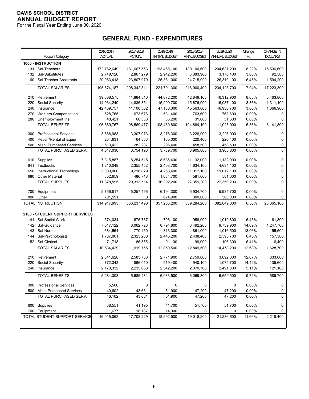For the Fiscal Year Ending June 30, 2020

# **GENERAL FUND - EXPENDITURES**

|     |                                        | 2016-2017   | 2017-2018     | 2018-2019             | 2018-2019    | 2019-2020     | Change | <b>CHANGE IN</b> |
|-----|----------------------------------------|-------------|---------------|-----------------------|--------------|---------------|--------|------------------|
|     | <b>Account Category</b>                | ACTUAL      | <b>ACTUAL</b> | <b>INITIAL BUDGET</b> | FINAL BUDGET | ANNUAL BUDGET | %      | <b>DOLLARS</b>   |
|     | 1000 - INSTRUCTION                     |             |               |                       |              |               |        |                  |
|     | 131 Sal-Teachers                       | 172,762,649 | 181,667,553   | 193,468,100           | 189,100,600  | 204,637,200   | 8.22%  | 15,536,600       |
| 132 | Sal-Substitutes                        | 2,748,120   | 2,867,279     | 2,942,200             | 3,083,900    | 3,176,400     | 3.00%  | 92,500           |
|     | 160 Sal-Teacher Assistants             | 20,063,418  | 23,807,979    | 25,381,000            | 24,715,900   | 26,310,100    | 6.45%  | 1,594,200        |
|     | <b>TOTAL SALARIES</b>                  | 195,574,187 | 208,342,811   | 221,791,300           | 216,900,400  | 234,123,700   | 7.94%  | 17,223,300       |
|     |                                        |             |               |                       |              |               |        |                  |
| 210 | Retirement                             | 39,608,575  | 41,884,810    | 44,672,200            | 42,849,100   | 46,312,900    | 8.08%  | 3,463,800        |
| 220 | Social Security                        | 14,034,249  | 14,836,351    | 15,990,700            | 15,676,000   | 16,987,100    | 8.36%  | 1,311,100        |
| 240 | Insurance                              | 42,469,757  | 41,108,302    | 47,180,300            | 45,563,800   | 46,930,700    | 3.00%  | 1,366,900        |
| 270 | <b>Workers Compensation</b>            | 528,765     | 673,676       | 531,400               | 763,600      | 763,600       | 0.00%  | 0                |
| 280 | Unemployment Ins                       | 48,421      | 66,338        | 86,200                | 31,600       | 31,600        | 0.00%  | 0                |
|     | <b>TOTAL BENEFITS</b>                  | 96,689,767  | 98,569,477    | 108,460,800           | 104,884,100  | 111,025,900   | 5.86%  | 6,141,800        |
| 300 | <b>Professional Services</b>           | 3,568,983   | 3,307,073     | 3,278,300             | 3,226,900    | 3,226,900     | 0.00%  | 0                |
| 400 | Repair/Rental of Equip                 | 234,631     | 164,833       | 165,000               | 220,400      | 220,400       | 0.00%  | 0                |
| 500 | Misc. Purchased Services               | 513,422     | 282,287       | 296,400               | 458,500      | 458,500       | 0.00%  | 0                |
|     | TOTAL PURCHASED SERV.                  | 4,317,036   | 3,754,193     | 3,739,700             | 3,905,800    | 3,905,800     | 0.00%  | 0                |
|     |                                        |             |               |                       |              |               |        |                  |
|     | 610 Supplies                           | 7,315,887   | 8,254,515     | 8,685,400             | 11,132,000   | 11,132,000    | 0.00%  | 0                |
| 641 | Textbooks                              | 1,210,049   | 2,355,452     | 2,403,700             | 4,634,100    | 4,634,100     | 0.00%  | 0                |
| 650 | Instructional Technology               | 3,000,000   | 9,216,829     | 4,268,400             | 11,012,100   | 11,012,100    | 0.00%  | 0                |
| 680 | <b>Other Material</b>                  | 352,659     | 486,718       | 1,034,700             | 581,000      | 581,000       | 0.00%  | 0                |
|     | <b>TOTAL SUPPLIES</b>                  | 11,878,595  | 20,313,514    | 16,392,200            | 27,359,200   | 27,359,200    | 0.00%  | 0                |
| 700 | Equipment                              | 5,756,817   | 5,257,495     | 6,194,300             | 5,934,700    | 5,934,700     | 0.00%  | 0                |
| 800 | Other                                  | 701,591     | 0             | 674,900               | 300,000      | 300,000       | 0.00%  | 0                |
|     | TOTAL INSTRUCTION                      | 314,917,993 | 336,237,490   | 357,253,200           | 359,284,200  | 382,649,300   | 6.50%  | 23,365,100       |
|     |                                        |             |               |                       |              |               |        |                  |
|     | <b>2100 - STUDENT SUPPORT SERVICES</b> |             |               |                       |              |               |        |                  |
| 141 | Sal-Social Work                        | 574,034     | 676,737       | 706,100               | 958,000      | 1,019,800     | 6.45%  | 61,800           |
|     | 142 Sal-Guidance                       | 7,517,122   | 8,062,723     | 8,794,800             | 8,492,200    | 9,739,900     | 14.69% | 1,247,700        |
| 143 | Sal-Nurses                             | 684,554     | 770,460       | 813,300               | 861,000      | 1,016,500     | 18.06% | 155,500          |
| 144 | Sal-Psychologists                      | 1,787,001   | 2,323,280     | 2,445,200             | 2,438,400    | 2,595,700     | 6.45%  | 157,300          |
|     | 152 Sal-Clerical                       | 71,718      | 86,555        | 91,100                | 99,900       | 106,300       | 6.41%  | 6,400            |
|     | <b>TOTAL SALARIES</b>                  | 10,634,429  | 11,919,755    | 12,850,500            | 12,849,500   | 14,478,200    | 12.68% | 1,628,700        |
| 210 | Retirement                             | 2,341,628   | 2,583,758     | 2,771,900             | 2,759,000    | 3,092,000     | 12.07% | 333,000          |
| 220 | Social Security                        | 772,343     | 866,010       | 919,400               | 940,100      | 1,075,700     | 14.42% | 135,600          |
|     | 240 Insurance                          | 2,170,332   | 2,235,663     | 2,342,200             | 2,370,700    | 2,491,800     | 5.11%  | 121,100          |
|     | <b>TOTAL BENEFITS</b>                  | 5,284,303   | 5,685,431     | 6,033,500             | 6,069,800    | 6,659,500     | 9.72%  | 589,700          |
|     |                                        |             |               |                       |              |               |        |                  |
| 300 | <b>Professional Services</b>           | 5,500       | 0             | 0                     | 0            | 0             | 0.00%  | 0                |
| 500 | Misc. Purchased Services               | 40,602      | 43,661        | 51,900                | 47,200       | 47,200        | 0.00%  | 0                |
|     | TOTAL PURCHASED SERV.                  | 46,102      | 43,661        | 51,900                | 47,200       | 47,200        | 0.00%  | $\Omega$         |
|     | 600 Supplies                           | 38,551      | 41,195        | 41.700                | 51,700       | 51,700        | 0.00%  | 0                |
|     | 700 Equipment                          | 11,677      | 18,187        | 14,900                | 0            | 0             | 0.00%  | 0                |
|     | TOTAL STUDENT SUPPORT SERVICE          | 16,015,062  | 17,708,229    | 18,992,500            | 19,018,200   | 21,236,600    | 11.66% | 2,218,400        |
|     |                                        |             |               |                       |              |               |        |                  |
|     |                                        |             |               |                       |              |               |        |                  |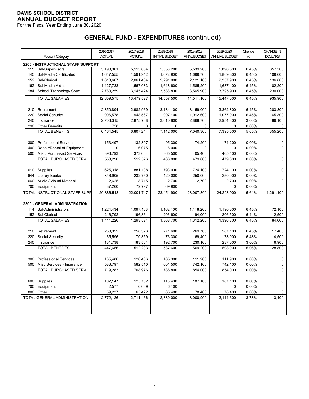For the Fiscal Year Ending June 30, 2020

|     |                                    | 2016-2017     | 2017-2018     | 2018-2019             | 2018-2019           | 2019-2020     | Change | CHANGE IN      |
|-----|------------------------------------|---------------|---------------|-----------------------|---------------------|---------------|--------|----------------|
|     | <b>Account Category</b>            | <b>ACTUAL</b> | <b>ACTUAL</b> | <b>INITIAL BUDGET</b> | <b>FINAL BUDGET</b> | ANNUAL BUDGET | %      | <b>DOLLARS</b> |
|     | 2200 - INSTRUCTIONAL STAFF SUPPORT |               |               |                       |                     |               |        |                |
|     | 115 Sal-Supervisors                | 5,190,361     | 5,113,664     | 5,356,200             | 5,539,200           | 5,896,500     | 6.45%  | 357,300        |
| 145 | Sal-Media Certificated             | 1,647,555     | 1,591,942     | 1,672,900             | 1,699,700           | 1,809,300     | 6.45%  | 109,600        |
| 152 | Sal-Clerical                       | 1,813,667     | 2,061,464     | 2,291,000             | 2,121,100           | 2,257,900     | 6.45%  | 136,800        |
| 162 | Sal-Media Aides                    | 1,427,733     | 1,567,033     | 1,648,600             | 1,585,200           | 1,687,400     | 6.45%  | 102,200        |
| 184 | School Technology Spec.            | 2,780,259     | 3,145,424     | 3,588,800             | 3,565,900           | 3,795,900     | 6.45%  | 230,000        |
|     | <b>TOTAL SALARIES</b>              | 12,859,575    | 13,479,527    | 14,557,500            | 14,511,100          | 15,447,000    | 6.45%  | 935,900        |
|     |                                    |               |               |                       |                     |               |        |                |
| 210 | Retirement                         | 2,850,894     | 2,982,969     | 3,134,100             | 3,159,000           | 3,362,800     | 6.45%  | 203,800        |
| 220 | Social Security                    | 906,578       | 948,567       | 997,100               | 1,012,600           | 1,077,900     | 6.45%  | 65,300         |
| 240 | Insurance                          | 2,706,315     | 2,875,708     | 3,010,800             | 2,868,700           | 2,954,800     | 3.00%  | 86,100         |
| 290 | <b>Other Benefits</b>              | 758           | 0             | 0                     | 0                   | 0             | 0.00%  | 0              |
|     | <b>TOTAL BENEFITS</b>              | 6,464,545     | 6,807,244     | 7,142,000             | 7,040,300           | 7,395,500     | 5.05%  | 355,200        |
|     |                                    |               |               |                       |                     |               |        |                |
| 300 | <b>Professional Services</b>       | 153,497       | 132,897       | 95,300                | 74,200              | 74,200        | 0.00%  | 0              |
| 400 | Repair/Rental of Equipment         | 0             | 6,075         | 6,000                 | $\Omega$            | 0             | 0.00%  | 0              |
| 500 | Misc. Purchased Services           | 396,793       | 373,604       | 365,500               | 405,400             | 405,400       | 0.00%  | 0              |
|     | TOTAL PURCHASED SERV.              | 550,290       | 512,576       | 466,800               | 479,600             | 479,600       | 0.00%  | 0              |
|     |                                    |               |               |                       |                     |               |        |                |
| 610 | Supplies                           | 625,318       | 881,138       | 793,000               | 724,100             | 724,100       | 0.00%  | 0              |
| 644 | <b>Library Books</b>               | 346,905       | 232,750       | 420,000               | 250,000             | 250,000       | 0.00%  | 0              |
| 660 | Audio / Visual Material            | 2,625         | 8,715         | 2,700                 | 2,700               | 2,700         | 0.00%  | 0              |
| 700 | Equipment                          | 37,260        | 79,797        | 69,900                | 0                   | 0             | 0.00%  | 0              |
|     | TOTAL INSTRUCTIONAL STAFF SUPP     | 20,886,518    | 22,001,747    | 23,451,900            | 23,007,800          | 24,298,900    | 5.61%  | 1,291,100      |
|     | 2300 - GENERAL ADMINISTRATION      |               |               |                       |                     |               |        |                |
|     | 114 Sal-Administrators             | 1,224,434     | 1,097,163     | 1,162,100             | 1,118,200           | 1,190,300     | 6.45%  | 72,100         |
|     | 152 Sal-Clerical                   | 216,792       | 196,361       | 206,600               | 194,000             | 206,500       | 6.44%  | 12,500         |
|     | <b>TOTAL SALARIES</b>              | 1,441,226     | 1,293,524     | 1,368,700             | 1,312,200           | 1,396,800     | 6.45%  | 84,600         |
|     |                                    |               |               |                       |                     |               |        |                |
| 210 | Retirement                         | 250,322       | 258,373       | 271,600               | 269,700             | 287,100       | 6.45%  | 17,400         |
| 220 | Social Security                    | 65,596        | 70,359        | 73,300                | 69,400              | 73,900        | 6.48%  | 4,500          |
| 240 | Insurance                          | 131,738       | 183,561       | 192,700               | 230,100             | 237,000       | 3.00%  | 6,900          |
|     | <b>TOTAL BENEFITS</b>              | 447,656       | 512,293       | 537,600               | 569,200             | 598,000       | 5.06%  | 28,800         |
|     |                                    |               |               |                       |                     |               |        |                |
| 300 | <b>Professional Services</b>       | 135,486       | 126,466       | 185,300               | 111,900             | 111,900       | 0.00%  | 0              |
| 500 | Misc Services - Insurance          | 583,797       | 582,510       | 601,500               | 742,100             | 742,100       | 0.00%  | 0              |
|     | TOTAL PURCHASED SERV.              | 719,283       | 708,976       | 786,800               | 854,000             | 854,000       | 0.00%  | 0              |
|     |                                    |               |               |                       |                     |               |        |                |
|     | 600 Supplies                       | 102,147       | 125,162       | 115,400               | 187,100             | 187,100       | 0.00%  | 0              |
| 700 | Equipment                          | 2,577         | 6,089         | 6,100                 | 0                   | 0             | 0.00%  | 0              |
|     | 800 Other                          | 59,237        | 65,422        | 65,400                | 78,400              | 78,400        | 0.00%  | 0              |
|     | TOTAL GENERAL ADMINISTRATION       | 2,772,126     | 2,711,466     | 2,880,000             | 3,000,900           | 3,114,300     | 3.78%  | 113,400        |
|     |                                    |               |               |                       |                     |               |        |                |
|     |                                    |               |               |                       |                     |               |        |                |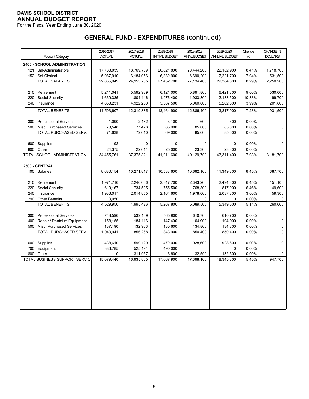For the Fiscal Year Ending June 30, 2020

|     |                                | 2016-2017     | 2017-2018     | 2018-2019             | 2018-2019           | 2019-2020     | Change   | <b>CHANGE IN</b> |
|-----|--------------------------------|---------------|---------------|-----------------------|---------------------|---------------|----------|------------------|
|     | <b>Account Category</b>        | <b>ACTUAL</b> | <b>ACTUAL</b> | <b>INITIAL BUDGET</b> | <b>FINAL BUDGET</b> | ANNUAL BUDGET | %        | <b>DOLLARS</b>   |
|     | 2400 - SCHOOL ADMINISTRATION   |               |               |                       |                     |               |          |                  |
| 121 | Sal-Administrators             | 17,768,039    | 18,769,709    | 20,621,800            | 20,444,200          | 22,162,900    | 8.41%    | 1,718,700        |
|     | 152 Sal-Clerical               | 5,087,910     | 6,184,056     | 6,830,900             | 6,690,200           | 7,221,700     | 7.94%    | 531,500          |
|     | <b>TOTAL SALARIES</b>          | 22,855,949    | 24,953,765    | 27,452,700            | 27,134,400          | 29,384,600    | 8.29%    | 2,250,200        |
|     |                                |               |               |                       |                     |               |          |                  |
| 210 | Retirement                     | 5,211,041     | 5,592,939     | 6,121,000             | 5,891,800           | 6,421,800     | 9.00%    | 530,000          |
| 220 | Social Security                | 1,639,335     | 1,804,146     | 1,976,400             | 1,933,800           | 2,133,500     | 10.33%   | 199,700          |
|     | 240 Insurance                  | 4,653,231     | 4,922,250     | 5,367,500             | 5,060,800           | 5,262,600     | 3.99%    | 201,800          |
|     | <b>TOTAL BENEFITS</b>          | 11,503,607    | 12,319,335    | 13,464,900            | 12,886,400          | 13,817,900    | 7.23%    | 931,500          |
|     |                                |               |               |                       |                     |               |          |                  |
| 300 | <b>Professional Services</b>   | 1,090         | 2,132         | 3,100                 | 600                 | 600           | 0.00%    | $\Omega$         |
| 500 | Misc. Purchased Services       | 70,548        | 77,478        | 65,900                | 85,000              | 85,000        | 0.00%    | 0                |
|     | TOTAL PURCHASED SERV.          | 71,638        | 79,610        | 69,000                | 85,600              | 85,600        | 0.00%    | 0                |
| 600 | Supplies                       | 192           | $\pmb{0}$     | $\Omega$              | $\Omega$            | $\Omega$      | 0.00%    | $\Omega$         |
| 800 | Other                          | 24,375        | 22,611        | 25,000                | 23,300              | 23,300        | 0.00%    | $\Omega$         |
|     | TOTAL SCHOOL ADMINISTRATION    | 34,455,761    | 37,375,321    | 41,011,600            | 40,129,700          | 43,311,400    | 7.93%    | 3,181,700        |
|     |                                |               |               |                       |                     |               |          |                  |
|     | 2500 - CENTRAL                 |               |               |                       |                     |               |          |                  |
|     | 100 Salaries                   | 8,680,154     | 10,271,817    | 10,583,600            | 10,662,100          | 11,349,800    | 6.45%    | 687,700          |
|     |                                |               |               |                       |                     |               |          |                  |
| 210 | Retirement                     | 1,971,716     | 2,246,066     | 2,347,700             | 2,343,200           | 2,494,300     | 6.45%    | 151,100          |
| 220 | Social Security                | 619,167       | 734,505       | 755,500               | 768,300             | 817,900       | 6.46%    | 49,600           |
| 240 | Insurance                      | 1,936,017     | 2,014,855     | 2,164,600             | 1,978,000           | 2,037,300     | 3.00%    | 59,300           |
| 290 | <b>Other Benefits</b>          | 3,050         |               | 0                     | 0                   | 0             | 0.00%    | 0                |
|     | <b>TOTAL BENEFITS</b>          | 4,529,950     | 4,995,426     | 5,267,800             | 5,089,500           | 5,349,500     | 5.11%    | 260,000          |
| 300 | <b>Professional Services</b>   | 748,596       | 539,169       | 565,900               | 610,700             | 610,700       | 0.00%    | 0                |
| 400 | Repair / Rental of Equipment   | 158,155       | 184,116       | 147,400               | 104,900             | 104,900       | 0.00%    | 0                |
| 500 | Misc. Purchased Services       | 137,190       | 132,983       | 130,600               | 134,800             | 134,800       | 0.00%    | 0                |
|     | TOTAL PURCHASED SERV.          | 1,043,941     | 856,268       | 843,900               | 850,400             | 850,400       | 0.00%    | $\mathbf{0}$     |
|     |                                |               |               |                       |                     |               |          |                  |
| 600 | Supplies                       | 438,610       | 599,120       | 479,000               | 928,600             | 928,600       | 0.00%    | $\mathbf 0$      |
| 700 | Equipment                      | 386,785       | 525,191       | 490,000               | $\mathbf 0$         | 0             | 0.00%    | 0                |
| 800 | Other                          | 0             | $-311,957$    | 3,600                 | $-132,500$          | $-132,500$    | $0.00\%$ | 0                |
|     | TOTAL BUSINESS SUPPORT SERVICE | 15,079,440    | 16,935,865    | 17,667,900            | 17,398,100          | 18,345,800    | 5.45%    | 947,700          |
|     |                                |               |               |                       |                     |               |          |                  |
|     |                                |               |               |                       |                     |               |          |                  |
|     |                                |               |               |                       |                     |               |          |                  |
|     |                                |               |               |                       |                     |               |          |                  |
|     |                                |               |               |                       |                     |               |          |                  |
|     |                                |               |               |                       |                     |               |          |                  |
|     |                                |               |               |                       |                     |               |          |                  |
|     |                                |               |               |                       |                     |               |          |                  |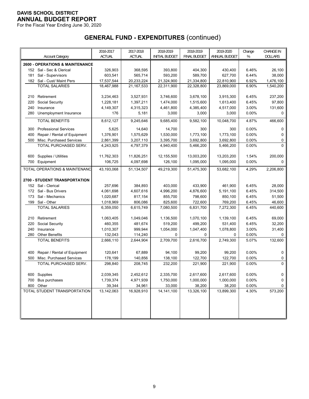For the Fiscal Year Ending June 30, 2020

|     |                                            | 2016-2017     | 2017-2018     | 2018-2019              | 2018-2019              | 2019-2020     | Change   | <b>CHANGE IN</b> |
|-----|--------------------------------------------|---------------|---------------|------------------------|------------------------|---------------|----------|------------------|
|     | <b>Account Category</b>                    | <b>ACTUAL</b> | <b>ACTUAL</b> | <b>INITIAL BUDGET</b>  | <b>FINAL BUDGET</b>    | ANNUAL BUDGET | %        | DOLLARS          |
|     | <b>2600 - OPERATIONS &amp; MAINTENANCE</b> |               |               |                        |                        |               |          |                  |
|     | 152 Sal - Sec & Clerical                   | 326,903       | 368,595       | 393,800                | 404,300                | 430,400       | 6.46%    | 26,100           |
| 181 | Sal - Supervisors                          | 603,541       | 565.714       | 593.200                | 589,700                | 627,700       | 6.44%    | 38,000           |
|     | 182 Sal - Cust/ Maint Pers                 | 17,537,544    | 20,233,224    | 21,324,900             | 21,334,800             | 22.810.900    | 6.92%    | 1,476,100        |
|     | <b>TOTAL SALARIES</b>                      | 18,467,988    | 21, 167, 533  | 22,311,900             | 22,328,800             | 23,869,000    | 6.90%    | 1,540,200        |
|     |                                            |               |               |                        |                        |               |          |                  |
| 210 | Retirement                                 | 3,234,463     | 3,527,931     | 3,746,600              | 3,678,100              | 3,915,300     | 6.45%    | 237,200          |
| 220 | Social Security                            | 1,228,181     | 1,397,211     | 1,474,000              | 1,515,600              | 1,613,400     | 6.45%    | 97,800           |
| 240 | Insurance                                  | 4,149,307     | 4,315,323     | 4,461,800              | 4,385,400              | 4,517,000     | 3.00%    | 131,600          |
| 280 | Unemployment Insurance                     | 176           | 5,181         | 3,000                  | 3,000                  | 3,000         | 0.00%    | 0                |
|     | <b>TOTAL BENEFITS</b>                      | 8,612,127     | 9,245,646     | 9,685,400              | $\overline{9,}582,100$ | 10,048,700    | 4.87%    | 466,600          |
| 300 | <b>Professional Services</b>               | 5,625         | 14,640        | 14,700                 | 300                    | 300           | 0.00%    | 0                |
| 400 | Repair / Rental of Equipment               | 1,376,901     | 1,575,629     | 1,530,000              | 1,773,100              | 1,773,100     | 0.00%    | 0                |
| 500 | Misc. Purchased Services                   | 2,861,399     | 3,207,110     | 3,395,700              | 3,692,800              | 3,692,800     | 0.00%    | 0                |
|     | TOTAL PURCHASED SERV.                      | 4,243,925     | 4,797,379     | 4,940,400              | 5,466,200              | 5,466,200     | 0.00%    | $\Omega$         |
|     |                                            |               |               |                        |                        |               |          |                  |
| 600 | Supplies / Utilities                       | 11,762,303    | 11,826,251    | 12,155,500             | 13,003,200             | 13,203,200    | 1.54%    | 200,000          |
| 700 | Equipment                                  | 106,725       | 4,097,698     | 126,100                | 1,095,000              | 1,095,000     | 0.00%    | 0                |
|     | TOTAL OPERATIONS & MAINTENANC              | 43,193,068    | 51,134,507    | 49,219,300             | 51,475,300             | 53,682,100    | 4.29%    | 2,206,800        |
|     |                                            |               |               |                        |                        |               |          |                  |
|     | <b>2700 - STUDENT TRANSPORTATION</b>       |               |               |                        |                        |               |          |                  |
|     | 152 Sal - Clerical                         | 257,696       | 384,893       | 403.000                | 433,900                | 461,900       | 6.45%    | 28,000           |
|     | 172 Sal - Bus Drivers                      | 4,061,698     | 4,607,616     | 4,996,200              | 4,876,600              | 5,191,100     | 6.45%    | 314,500          |
| 173 | Sal - Mechanics                            | 1,020,687     | 817,154       | 855,700                | 798,600                | 850,100       | 6.45%    | 51,500           |
| 199 | Sal - Other                                | 1,018,969     | 806,086       | 825,600                | 722,600                | 769,200       | 6.45%    | 46,600           |
|     | <b>TOTAL SALARIES</b>                      | 6,359,050     | 6,615,749     | 7,080,500              | 6,831,700              | 7,272,300     | 6.45%    | 440,600          |
|     |                                            |               |               |                        |                        |               |          |                  |
| 210 | Retirement                                 | 1,063,405     | 1,049,046     | 1,136,500              | 1,070,100              | 1,139,100     | 6.45%    | 69,000           |
| 220 | Social Security                            | 460,355       | 481,674       | 519,200                | 499,200                | 531,400       | 6.45%    | 32,200           |
| 240 | Insurance                                  | 1,010,307     | 999,944       | 1,054,000              | 1,047,400              | 1,078,800     | 3.00%    | 31,400           |
| 280 | <b>Other Benefits</b>                      | 132,043       | 114,240       | $\Omega$               | 0                      | 0             | 0.00%    | 0                |
|     | <b>TOTAL BENEFITS</b>                      | 2,666,110     | 2,644,904     | 2,709,700              | 2,616,700              | 2,749,300     | 5.07%    | 132,600          |
|     |                                            |               |               |                        |                        |               |          |                  |
| 400 | Repair / Rental of Equipment               | 120,641       | 67,889        | 94,100                 | 99,200                 | 99,200        | 0.00%    | 0                |
| 500 | Misc. Purchased Services                   | 178,199       | 140,856       | 138,100                | 122,700                | 122,700       | 0.00%    | 0                |
|     | TOTAL PURCHASED SERV.                      | 298,840       | 208,745       | 232,200                | 221,900                | 221,900       | $0.00\%$ | 0                |
|     |                                            |               |               |                        |                        |               |          |                  |
|     | 600 Supplies                               | 2,039,345     | 2,452,612     | 2,335,700              | 2,617,600              | 2,617,600     | 0.00%    | 0                |
| 700 | Bus purchases                              | 1,739,374     | 4,971,939     | 1,750,000              | 1,000,000              | 1,000,000     | $0.00\%$ | 0                |
|     | 800 Other                                  | 39,344        | 34,961        | 33,000<br>14, 141, 100 | 38,200                 | 38,200        | $0.00\%$ | 0<br>573,200     |
|     | TOTAL STUDENT TRANSPORTATION               | 13,142,063    | 16,928,910    |                        | 13,326,100             | 13,899,300    | 4.30%    |                  |
|     |                                            |               |               |                        |                        |               |          |                  |
|     |                                            |               |               |                        |                        |               |          |                  |
|     |                                            |               |               |                        |                        |               |          |                  |
|     |                                            |               |               |                        |                        |               |          |                  |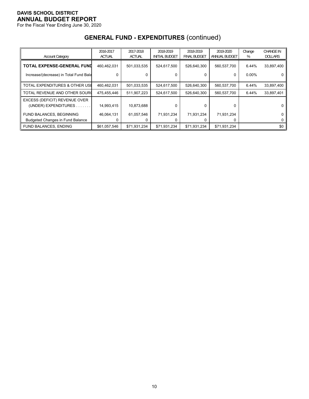For the Fiscal Year Ending June 30, 2020

|                                                        | 2016-2017     | 2017-2018     | 2018-2019             | 2018-2019           | 2019-2020     | Change   | <b>CHANGE IN</b> |
|--------------------------------------------------------|---------------|---------------|-----------------------|---------------------|---------------|----------|------------------|
| <b>Account Category</b>                                | <b>ACTUAL</b> | <b>ACTUAL</b> | <b>INITIAL BUDGET</b> | <b>FINAL BUDGET</b> | ANNUAL BUDGET | %        | <b>DOLLARS</b>   |
| TOTAL EXPENSE-GENERAL FUND                             | 460,462,031   | 501,033,535   | 524,617,500           | 526.640.300         | 560,537,700   | 6.44%    | 33,897,400       |
| Increase/(decrease) in Total Fund Bala                 | 0             |               |                       | 0                   | 0             | $0.00\%$ | 0                |
| TOTAL EXPENDITURES & OTHER USE                         | 460,462,031   | 501,033,535   | 524,617,500           | 526.640.300         | 560,537,700   | 6.44%    | 33,897,400       |
| TOTAL REVENUE AND OTHER SOURC                          | 475,455,446   | 511,907,223   | 524,617,500           | 526.640.300         | 560,537,700   | 6.44%    | 33,897,401       |
| EXCESS (DEFICIT) REVENUE OVER<br>(UNDER) EXPENDITURES. | 14,993,415    | 10,873,688    | 0                     | 0                   | 0             |          | 0                |
| FUND BALANCES, BEGINNING                               | 46.064.131    | 61,057,546    | 71,931,234            | 71,931,234          | 71,931,234    |          | 0                |
| <b>Budgeted Changes in Fund Balance</b>                |               |               |                       |                     | O             |          |                  |
| <b>FUND BALANCES, ENDING</b>                           | \$61,057,546  | \$71,931,234  | \$71,931,234          | \$71,931,234        | \$71,931,234  |          | \$0              |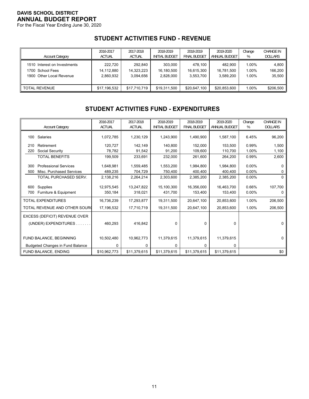For the Fiscal Year Ending June 30, 2020

# **STUDENT ACTIVITIES FUND - REVENUE**

| <b>Account Category</b>      | 2016-2017     | 2017-2018     | 2018-2019             | 2018-2019           | 2019-2020     | Change | <b>CHANGE IN</b> |
|------------------------------|---------------|---------------|-----------------------|---------------------|---------------|--------|------------------|
|                              | <b>ACTUAL</b> | <b>ACTUAL</b> | <b>INITIAL BUDGET</b> | <b>FINAL BUDGET</b> | ANNUAL BUDGET | %      | <b>DOLLARS</b>   |
| 1510 Interest on Investments | 222.720       | 292.840       | 303,000               | 478.100             | 482.900       | 1.00%  | 4.800            |
| 1700 School Fees             | 14,112,880    | 14.323.223    | 16,180,500            | 16.615.300          | 16,781,500    | 1.00%  | 166,200          |
| 1900 Other Local Revenue     | 2.860.932     | 3.094.656     | 2.828.000             | 3.553.700           | 3.589.200     | 1.00%  | 35,500           |
| <b>TOTAL REVENUE</b>         | \$17,196,532  | \$17,710,719  | \$19,311,500          | \$20,647,100        | \$20,853,600  | 1.00%  | \$206,500        |

# **STUDENT ACTIVITIES FUND - EXPENDITURES**

|            |                                                          | 2016-2017            | 2017-2018            | 2018-2019             | 2018-2019            | 2019-2020            | Change            | <b>CHANGE IN</b> |
|------------|----------------------------------------------------------|----------------------|----------------------|-----------------------|----------------------|----------------------|-------------------|------------------|
|            | <b>Account Category</b>                                  | <b>ACTUAL</b>        | <b>ACTUAL</b>        | <b>INITIAL BUDGET</b> | <b>FINAL BUDGET</b>  | ANNUAL BUDGET        | %                 | <b>DOLLARS</b>   |
| 100        | Salaries                                                 | 1,072,785            | 1,230,129            | 1,243,900             | 1,490,900            | 1,587,100            | 6.45%             | 96,200           |
| 210        | Retirement                                               | 120.727              | 142,149              | 140,800               | 152,000              | 153,500              | 0.99%             | 1,500            |
| 220        | Social Security                                          | 78,782               | 91,542               | 91,200                | 109,600              | 110,700              | 1.00%             | 1,100            |
|            | <b>TOTAL BENEFITS</b>                                    | 199,509              | 233,691              | 232,000               | 261,600              | 264,200              | 0.99%             | 2,600            |
| 300<br>500 | <b>Professional Services</b><br>Misc. Purchased Services | 1,648,981<br>489,235 | 1,559,485<br>704,729 | 1,553,200<br>750,400  | 1,984,800<br>400,400 | 1,984,800<br>400,400 | 0.00%<br>$0.00\%$ |                  |
|            | TOTAL PURCHASED SERV.                                    | 2,138,216            | 2,264,214            | 2,303,600             | 2,385,200            | 2,385,200            | $0.00\%$          | $\Omega$         |
|            |                                                          |                      |                      |                       |                      |                      |                   |                  |
| 600        | Supplies                                                 | 12,975,545           | 13,247,822           | 15,100,300            | 16,356,000           | 16,463,700           | 0.66%             | 107,700          |
| 700        | Furniture & Equipment                                    | 350,184              | 318,021              | 431,700               | 153,400              | 153,400              | $0.00\%$          | 0                |
|            | <b>TOTAL EXPENDITURES</b>                                | 16,736,239           | 17,293,877           | 19,311,500            | 20,647,100           | 20,853,600           | 1.00%             | 206,500          |
|            | TOTAL REVENUE AND OTHER SOUR(                            | 17,196,532           | 17,710,719           | 19,311,500            | 20,647,100           | 20,853,600           | 1.00%             | 206,500          |
|            | EXCESS (DEFICIT) REVENUE OVER                            |                      |                      |                       |                      |                      |                   |                  |
|            | (UNDER) EXPENDITURES                                     | 460,293              | 416,842              | 0                     | $\Omega$             | $\mathbf 0$          |                   | 0                |
|            |                                                          |                      |                      |                       |                      |                      |                   |                  |
|            | FUND BALANCE, BEGINNING                                  | 10,502,480           | 10,962,773           | 11,379,615            | 11,379,615           | 11,379,615           |                   | 0                |
|            | <b>Budgeted Changes in Fund Balance</b>                  | 0                    | 0                    | 0                     | 0                    | 0                    |                   |                  |
|            | FUND BALANCE, ENDING                                     | \$10,962,773         | \$11,379,615         | \$11,379,615          | \$11,379,615         | \$11,379,615         |                   | \$0              |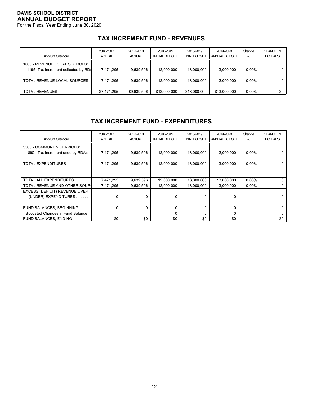For the Fiscal Year Ending June 30, 2020

# **TAX INCREMENT FUND - REVENUES**

| <b>Account Category</b>                                              | 2016-2017<br><b>ACTUAL</b> | 2017-2018<br><b>ACTUAL</b> | 2018-2019<br><b>INITIAL BUDGET</b> | 2018-2019<br><b>FINAL BUDGET</b> | 2019-2020<br>ANNUAL BUDGET | Change<br>% | <b>CHANGE IN</b><br><b>DOLLARS</b> |
|----------------------------------------------------------------------|----------------------------|----------------------------|------------------------------------|----------------------------------|----------------------------|-------------|------------------------------------|
| 1000 - REVENUE LOCAL SOURCES:<br>1195 Tax Increment collected by RDA | 7.471.295                  | 9.639.596                  | 12.000.000                         | 13.000.000                       | 13.000.000                 | $0.00\%$    |                                    |
| TOTAL REVENUE LOCAL SOURCES                                          | 7.471.295                  | 9.639.596                  | 12,000,000                         | 13,000,000                       | 13,000,000                 | $0.00\%$    |                                    |
| <b>TOTAL REVENUES</b>                                                | \$7,471,295                | \$9,639,596                | \$12,000,000                       | \$13,000,000                     | \$13,000,000               | $0.00\%$    | \$0                                |

# **TAX INCREMENT FUND - EXPENDITURES**

| <b>Account Category</b>                                          | 2016-2017<br><b>ACTUAL</b> | 2017-2018<br><b>ACTUAL</b> | 2018-2019<br><b>INITIAL BUDGET</b> | 2018-2019<br><b>FINAL BUDGET</b> | 2019-2020<br>ANNUAL BUDGET | Change<br>% | <b>CHANGE IN</b><br><b>DOLLARS</b> |
|------------------------------------------------------------------|----------------------------|----------------------------|------------------------------------|----------------------------------|----------------------------|-------------|------------------------------------|
| 3300 - COMMUNITY SERVICES:<br>Tax Increment used by RDA's<br>890 | 7,471,295                  | 9,639,596                  | 12,000,000                         | 13,000,000                       | 13,000,000                 | $0.00\%$    |                                    |
| TOTAL EXPENDITURES                                               | 7,471,295                  | 9,639,596                  | 12,000,000                         | 13,000,000                       | 13,000,000                 | $0.00\%$    |                                    |
| TOTAL ALL EXPENDITURES                                           | 7,471,295                  | 9,639,596                  | 12,000,000                         | 13,000,000                       | 13,000,000                 | $0.00\%$    |                                    |
| TOTAL REVENUE AND OTHER SOURC                                    | 7,471,295                  | 9,639,596                  | 12,000,000                         | 13.000.000                       | 13,000,000                 | $0.00\%$    |                                    |
| EXCESS (DEFICIT) REVENUE OVER                                    |                            |                            |                                    |                                  |                            |             |                                    |
| (UNDER) EXPENDITURES.                                            | 0                          | $\Omega$                   | $\Omega$                           | 0                                | $\Omega$                   |             |                                    |
| FUND BALANCES, BEGINNING                                         | 0                          | $\Omega$                   | $\Omega$                           | 0                                | 0                          |             |                                    |
| <b>Budgeted Changes in Fund Balance</b>                          |                            |                            | 0                                  | 0                                | $\Omega$                   |             |                                    |
| <b>FUND BALANCES, ENDING</b>                                     | \$0                        | \$0                        | \$0                                | \$0                              | \$0                        |             | \$0                                |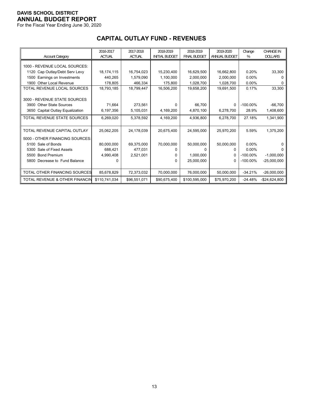For the Fiscal Year Ending June 30, 2020

# **CAPITAL OUTLAY FUND - REVENUES**

|                                    | 2016-2017     | 2017-2018     | 2018-2019             | 2018-2019           | 2019-2020     | Change      | <b>CHANGE IN</b> |
|------------------------------------|---------------|---------------|-----------------------|---------------------|---------------|-------------|------------------|
| <b>Account Category</b>            | <b>ACTUAL</b> | <b>ACTUAL</b> | <b>INITIAL BUDGET</b> | <b>FINAL BUDGET</b> | ANNUAL BUDGET | %           | <b>DOLLARS</b>   |
| 1000 - REVENUE LOCAL SOURCES:      |               |               |                       |                     |               |             |                  |
| Cap Outlay/Debt Serv Levy<br>1120  | 18,174,115    | 16,754,023    | 15,230,400            | 16,629,500          | 16,662,800    | 0.20%       | 33,300           |
| Earnings on Investments<br>1500    | 440,265       | 1,579,090     | 1,100,000             | 2,000,000           | 2.000.000     | $0.00\%$    | 0                |
| <b>Other Local Revenue</b><br>1900 | 178,805       | 466,334       | 175,800               | 1,028,700           | 1,028,700     | $0.00\%$    | 0                |
| TOTAL REVENUE LOCAL SOURCES        | 18,793,185    | 18,799,447    | 16,506,200            | 19,658,200          | 19,691,500    | 0.17%       | 33,300           |
|                                    |               |               |                       |                     |               |             |                  |
| 3000 - REVENUE STATE SOURCES       |               |               |                       |                     |               |             |                  |
| <b>Other State Sources</b><br>3900 | 71,664        | 273,561       | 0                     | 66,700              | 0             | $-100.00\%$ | $-66,700$        |
| 3650 Capital Outlay Equalization   | 6,197,356     | 5,105,031     | 4,169,200             | 4,870,100           | 6,278,700     | 28.9%       | 1,408,600        |
| TOTAL REVENUE STATE SOURCES        | 6,269,020     | 5,378,592     | 4,169,200             | 4,936,800           | 6,278,700     | 27.18%      | 1,341,900        |
|                                    |               |               |                       |                     |               |             |                  |
| TOTAL REVENUE CAPITAL OUTLAY       | 25,062,205    | 24,178,039    | 20,675,400            | 24,595,000          | 25,970,200    | 5.59%       | 1,375,200        |
| 5000 - OTHER FINANCING SOURCES:    |               |               |                       |                     |               |             |                  |
| 5100 Sale of Bonds                 | 80,000,000    | 69,375,000    | 70,000,000            | 50,000,000          | 50,000,000    | $0.00\%$    |                  |
| Sale of Fixed Assets<br>5300       | 688.421       | 477.031       | 0                     | 0                   | $\Omega$      | $0.00\%$    | n                |
| <b>Bond Premium</b><br>5500        | 4,990,408     | 2,521,001     | 0                     | 1,000,000           | 0             | $-100.00\%$ | $-1,000,000$     |
| Decrease to Fund Balance<br>5800   | 0             |               | 0                     | 25,000,000          | 0             | $-100.00\%$ | $-25,000,000$    |
|                                    |               |               |                       |                     |               |             |                  |
| TOTAL OTHER FINANCING SOURCES      | 85,678,829    | 72,373,032    | 70,000,000            | 76,000,000          | 50,000,000    | $-34.21%$   | $-26,000,000$    |
| TOTAL REVENUE & OTHER FINANCIN     | \$110,741,034 | \$96,551,071  | \$90,675,400          | \$100,595,000       | \$75,970,200  | $-24.48%$   | $-$ \$24,624,800 |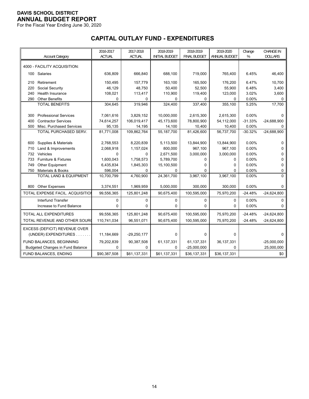For the Fiscal Year Ending June 30, 2020

# **CAPITAL OUTLAY FUND - EXPENDITURES**

|     |                                         | 2016-2017     | 2017-2018     | 2018-2019             | 2018-2019           | 2019-2020     | Change    | <b>CHANGE IN</b> |
|-----|-----------------------------------------|---------------|---------------|-----------------------|---------------------|---------------|-----------|------------------|
|     | <b>Account Category</b>                 | <b>ACTUAL</b> | <b>ACTUAL</b> | <b>INITIAL BUDGET</b> | <b>FINAL BUDGET</b> | ANNUAL BUDGET | %         | <b>DOLLARS</b>   |
|     | 4000 - FACILITY ACQUISITION:            |               |               |                       |                     |               |           |                  |
|     | 100 Salaries                            | 636,809       | 666,840       | 688,100               | 719,000             | 765,400       | 6.45%     | 46,400           |
| 210 | Retirement                              | 150,495       | 157,779       | 163,100               | 165,500             | 176,200       | 6.47%     | 10,700           |
| 220 | Social Security                         | 46,129        | 48,750        | 50,400                | 52,500              | 55,900        | 6.48%     | 3,400            |
| 240 | <b>Health Insurance</b>                 | 108,021       | 113,417       | 110,900               | 119,400             | 123,000       | 3.02%     | 3,600            |
| 290 | <b>Other Benefits</b>                   | 0             | 0             | 0                     | 0                   | 0             | 0.00%     | 0                |
|     | <b>TOTAL BENEFITS</b>                   | 304,645       | 319,946       | 324,400               | 337,400             | 355,100       | 5.25%     | 17,700           |
|     |                                         |               |               |                       |                     |               |           |                  |
| 300 | <b>Professional Services</b>            | 7,061,616     | 3,829,152     | 10,000,000            | 2,615,300           | 2,615,300     | 0.00%     | $\Omega$         |
| 400 | <b>Contractor Services</b>              | 74,614,257    | 106,019,417   | 45,173,600            | 78,800,900          | 54,112,000    | $-31.33%$ | $-24,688,900$    |
| 500 | Misc. Purchased Services                | 95,135        | 14,195        | 14,100                | 10,400              | 10,400        | 0.00%     | 0                |
|     | TOTAL PURCHASED SERV.                   | 81,771,008    | 109,862,764   | 55,187,700            | 81,426,600          | 56,737,700    | $-30.32%$ | $-24,688,900$    |
|     |                                         |               |               |                       |                     |               |           |                  |
| 600 | Supplies & Materials                    | 2,768,553     | 8,220,839     | 5,113,500             | 13,844,900          | 13,844,900    | 0.00%     | 0                |
| 710 | Land & Improvements                     | 2,068,918     | 1,157,024     | 800,000               | 967,100             | 967,100       | 0.00%     | 0                |
| 732 | Vehicles                                | $\mathbf 0$   | 0             | 2,671,500             | 3,000,000           | 3,000,000     | 0.00%     | 0                |
| 733 | Furniture & Fixtures                    | 1,600,043     | 1,758,573     | 5,789,700             | 0                   | 0             | 0.00%     | 0                |
| 749 | <b>Other Equipment</b>                  | 6,435,834     | 1,845,303     | 15,100,500            | 0                   | 0             | 0.00%     | 0                |
| 750 | Materials & Books                       | 596,004       | $\Omega$      | 0                     | 0                   | $\Omega$      | 0.00%     | 0                |
|     | TOTAL LAND & EQUIPMENT                  | 10,700,799    | 4,760,900     | 24,361,700            | 3,967,100           | 3,967,100     | 0.00%     | $\Omega$         |
| 800 | <b>Other Expenses</b>                   | 3,374,551     | 1,969,959     | 5,000,000             | 300,000             | 300,000       | 0.00%     | $\Omega$         |
|     | TOTAL EXPENSE FACIL. ACQUISITION        | 99,556,365    | 125,801,248   | 90,675,400            | 100,595,000         | 75,970,200    | $-24.48%$ | $-24,624,800$    |
|     | <b>Interfund Transfer</b>               | $\mathbf 0$   | 0             | $\mathbf 0$           | 0                   | $\mathbf 0$   | 0.00%     | $\Omega$         |
|     | Increase to Fund Balance                | $\mathbf 0$   | 0             | 0                     | 0                   | 0             | 0.00%     | 0                |
|     | <b>TOTAL ALL EXPENDITURES</b>           | 99,556,365    | 125,801,248   | 90,675,400            | 100,595,000         | 75,970,200    | $-24.48%$ | $-24,624,800$    |
|     | TOTAL REVENUE AND OTHER SOUR            | 110,741,034   | 96,551,071    | 90,675,400            | 100,595,000         | 75,970,200    | $-24.48%$ | $-24,624,800$    |
|     |                                         |               |               |                       |                     |               |           |                  |
|     | EXCESS (DEFICIT) REVENUE OVER           |               |               |                       |                     |               |           |                  |
|     | (UNDER) EXPENDITURES                    | 11,184,669    | $-29,250,177$ | $\Omega$              | 0                   | $\mathbf 0$   |           | $\Omega$         |
|     | FUND BALANCES, BEGINNING                | 79,202,839    | 90,387,508    | 61,137,331            | 61,137,331          | 36, 137, 331  |           | $-25,000,000$    |
|     | <b>Budgeted Changes in Fund Balance</b> | 0             | 0             | 0                     | $-25,000,000$       | 0             |           | 25,000,000       |
|     | FUND BALANCES, ENDING                   | \$90,387,508  | \$61,137,331  | \$61,137,331          | \$36,137,331        | \$36,137,331  |           | \$0              |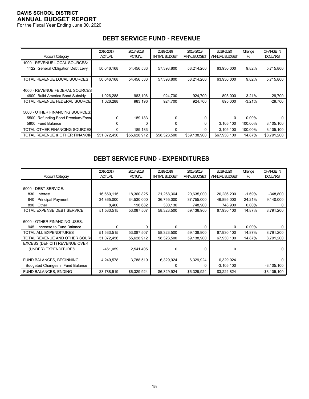For the Fiscal Year Ending June 30, 2020

# **DEBT SERVICE FUND - REVENUE**

|                                   | 2016-2017     | 2017-2018     | 2018-2019             | 2018-2019           | 2019-2020     | Change   | <b>CHANGE IN</b> |
|-----------------------------------|---------------|---------------|-----------------------|---------------------|---------------|----------|------------------|
| <b>Account Category</b>           | <b>ACTUAL</b> | <b>ACTUAL</b> | <b>INITIAL BUDGET</b> | <b>FINAL BUDGET</b> | ANNUAL BUDGET | %        | <b>DOLLARS</b>   |
| 1000 - REVENUE LOCAL SOURCES:     |               |               |                       |                     |               |          |                  |
| 1122 General Obligation Debt Levy | 50,046,168    | 54,456,533    | 57,398,800            | 58,214,200          | 63,930,000    | 9.82%    | 5,715,800        |
|                                   |               |               |                       |                     |               |          |                  |
| TOTAL REVENUE LOCAL SOURCES       | 50,046,168    | 54,456,533    | 57,398,800            | 58,214,200          | 63,930,000    | 9.82%    | 5,715,800        |
|                                   |               |               |                       |                     |               |          |                  |
| 4000 - REVENUE FEDERAL SOURCES    |               |               |                       |                     |               |          |                  |
| 4900 Build America Bond Subsidy   | 1,026,288     | 983,196       | 924,700               | 924,700             | 895.000       | $-3.21%$ | $-29,700$        |
| TOTAL REVENUE FEDERAL SOURCE:     | 1,026,288     | 983.196       | 924.700               | 924.700             | 895.000       | $-3.21%$ | $-29,700$        |
|                                   |               |               |                       |                     |               |          |                  |
| 5000 - OTHER FINANCING SOURCES:   |               |               |                       |                     |               |          |                  |
| 5500 Refunding Bond Premium/Escro | $\Omega$      | 189,183       | O                     | 0                   | $\Omega$      | $0.00\%$ |                  |
| 5800 Fund Balance                 | 0             |               | 0                     | 0                   | 3,105,100     | 100.00%  | 3,105,100        |
| TOTAL OTHER FINANCING SOURCES     | 0             | 189,183       | $\Omega$              | 0                   | 3,105,100     | 100.00%  | 3,105,100        |
| TOTAL REVENUE & OTHER FINANCIN    | \$51,072,456  | \$55,628,912  | \$58,323,500          | \$59,138,900        | \$67,930,100  | 14.87%   | \$8,791,200      |

# **DEBT SERVICE FUND - EXPENDITURES**

|                                         | 2016-2017     | 2017-2018     | 2018-2019             | 2018-2019           | 2019-2020      | Change   | <b>CHANGE IN</b> |
|-----------------------------------------|---------------|---------------|-----------------------|---------------------|----------------|----------|------------------|
| <b>Account Category</b>                 | <b>ACTUAL</b> | <b>ACTUAL</b> | <b>INITIAL BUDGET</b> | <b>FINAL BUDGET</b> | ANNUAL BUDGET  | %        | <b>DOLLARS</b>   |
|                                         |               |               |                       |                     |                |          |                  |
| 5000 - DEBT SERVICE:                    |               |               |                       |                     |                |          |                  |
| 830<br>Interest                         | 16,660,115    | 18,360,825    | 21,268,364            | 20,635,000          | 20,286,200     | -1.69%   | $-348,800$       |
| <b>Principal Payment</b><br>840         | 34,865,000    | 34,530,000    | 36,755,000            | 37,755,000          | 46,895,000     | 24.21%   | 9,140,000        |
| 890<br>Other                            | 8,400         | 196,682       | 300,136               | 748,900             | 748,900        | $0.00\%$ |                  |
| TOTAL EXPENSE DEBT SERVICE              | 51,533,515    | 53,087,507    | 58,323,500            | 59,138,900          | 67,930,100     | 14.87%   | 8,791,200        |
|                                         |               |               |                       |                     |                |          |                  |
| 6000 - OTHER FINANCING USES:            |               |               |                       |                     |                |          |                  |
| Increase to Fund Balance<br>945         | $\Omega$      | U             | $\Omega$              | $\Omega$            | $\Omega$       | 0.00%    |                  |
| <b>TOTAL ALL EXPENDITURES</b>           | 51,533,515    | 53,087,507    | 58,323,500            | 59,138,900          | 67,930,100     | 14.87%   | 8,791,200        |
| TOTAL REVENUE AND OTHER SOURC           | 51,072,456    | 55,628,912    | 58,323,500            | 59,138,900          | 67,930,100     | 14.87%   | 8,791,200        |
| EXCESS (DEFICIT) REVENUE OVER           |               |               |                       |                     |                |          |                  |
| (UNDER) EXPENDITURES.                   | $-461,059$    | 2,541,405     | $\Omega$              | 0                   | $\Omega$       |          |                  |
|                                         |               |               |                       |                     |                |          |                  |
| FUND BALANCES, BEGINNING                | 4,249,578     | 3,788,519     | 6,329,924             | 6,329,924           | 6,329,924      |          |                  |
| <b>Budgeted Changes in Fund Balance</b> |               |               |                       | 0                   | $-3, 105, 100$ |          | $-3,105,100$     |
| FUND BALANCES, ENDING                   | \$3,788,519   | \$6,329,924   | \$6,329,924           | \$6,329,924         | \$3,224,824    |          | $-$ \$3,105,100  |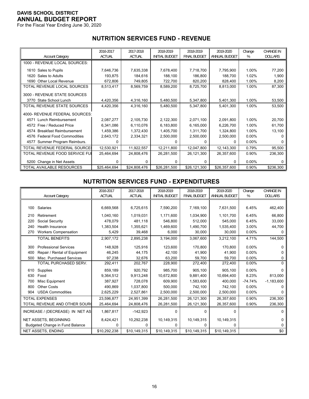For the Fiscal Year Ending June 30, 2020

# **NUTRITION SERVICES FUND - REVENUE**

|                                        | 2016-2017     | 2017-2018     | 2018-2019             | 2018-2019           | 2019-2020     | Change   | <b>CHANGE IN</b> |
|----------------------------------------|---------------|---------------|-----------------------|---------------------|---------------|----------|------------------|
| <b>Account Category</b>                | <b>ACTUAL</b> | <b>ACTUAL</b> | <b>INITIAL BUDGET</b> | <b>FINAL BUDGET</b> | ANNUAL BUDGET | %        | <b>DOLLARS</b>   |
| 1000 - REVENUE LOCAL SOURCES:          |               |               |                       |                     |               |          |                  |
| 1610 Sales to Pupils                   | 7,646,736     | 7,635,338     | 7,678,400             | 7,718,700           | 7,795,900     | 1.00%    | 77,200           |
| Sales to Adults<br>1620                | 193,875       | 184,616       | 188,100               | 186,800             | 188,700       | 1.02%    | 1,900            |
| <b>Other Local Revenue</b><br>1690     | 672,806       | 749,805       | 722,700               | 820,200             | 828,400       | 1.00%    | 8,200            |
| TOTAL REVENUE LOCAL SOURCES            | 8,513,417     | 8,569,759     | 8,589,200             | 8,725,700           | 8,813,000     | 1.00%    | 87,300           |
| 3000 - REVENUE STATE SOURCES           |               |               |                       |                     |               |          |                  |
| 3770 State School Lunch                | 4,420,356     | 4,316,160     | 5,480,500             | 5,347,800           | 5,401,300     | 1.00%    | 53,500           |
| TOTAL REVENUE STATE SOURCES            | 4,420,356     | 4,316,160     | 5,480,500             | 5,347,800           | 5,401,300     | 1.00%    | 53,500           |
| 4000- REVENUE FEDERAL SOURCES:         |               |               |                       |                     |               |          |                  |
| 4571 Lunch Reimbursement               | 2,087,277     | 2,105,730     | 2,122,300             | 2,071,100           | 2,091,800     | 1.00%    | 20,700           |
| 4572 Free / Reduced Price              | 6,341,086     | 6,110,076     | 6,183,800             | 6,165,000           | 6,226,700     | 1.00%    | 61,700           |
| <b>Breakfast Reimbursement</b><br>4574 | 1,459,386     | 1,372,430     | 1,405,700             | 1,311,700           | 1,324,800     | 1.00%    | 13,100           |
| 4576 Federal Food Commodities          | 2,643,172     | 2,334,321     | 2,500,000             | 2,500,000           | 2,500,000     | $0.00\%$ |                  |
| Summer Program Reimburs.<br>4577       | 0             |               | 0                     | 0                   | 0             | 0.00%    | 0                |
| TOTAL REVENUE FEDERAL SOURCE!          | 12,530,921    | 11,922,557    | 12,211,800            | 12,047,800          | 12,143,300    | 0.79%    | 95,500           |
| TOTAL REVENUE FOOD SERVICE FUI         | 25,464,694    | 24,808,476    | 26,281,500            | 26,121,300          | 26,357,600    | 0.90%    | 236,300          |
| 5200 Change in Net Assets              | 0             | 0             | 0                     | 0                   | 0             | 0.00%    | 0                |
| TOTAL AVAILABLE RESOURCES              | \$25,464,694  | \$24,808,476  | \$26,281,500          | \$26,121,300        | \$26,357,600  | 0.90%    | \$236,300        |

#### **NUTRITION SERVICES FUND - EXPENDITURES**

|     |                                 | 2016-2017     | 2017-2018     | 2018-2019             | 2018-2019           | 2019-2020     | Change    | <b>CHANGE IN</b> |
|-----|---------------------------------|---------------|---------------|-----------------------|---------------------|---------------|-----------|------------------|
|     | <b>Account Category</b>         | <b>ACTUAL</b> | <b>ACTUAL</b> | <b>INITIAL BUDGET</b> | <b>FINAL BUDGET</b> | ANNUAL BUDGET | %         | <b>DOLLARS</b>   |
|     |                                 |               |               |                       |                     |               |           |                  |
| 100 | Salaries                        | 6,669,568     | 6,725,615     | 7,590,200             | 7,169,100           | 7,631,500     | 6.45%     | 462,400          |
| 210 | Retirement                      | 1,040,160     | 1,019,031     | 1,171,600             | 1,034,900           | 1,101,700     | 6.45%     | 66,800           |
| 220 | Social Security                 | 478,079       | 481,118       | 546,800               | 512,000             | 545,000       | 6.45%     | 33,000           |
| 240 | <b>Health Insurance</b>         | 1,383,504     | 1,355,621     | 1,469,600             | 1,490,700           | 1,535,400     | 3.00%     | 44,700           |
| 270 | <b>Workers Compensation</b>     | 5,429         | 39,468        | 6,000                 | 30,000              | 30,000        | 0.00%     | 0                |
|     | <b>TOTAL BENEFITS</b>           | 2,907,172     | 2,895,238     | 3,194,000             | 3,067,600           | 3,212,100     | 4.71%     | 144,500          |
| 300 | <b>Professional Services</b>    | 148,928       | 125,916       | 123,600               | 170,800             | 170,800       | 0.00%     |                  |
| 400 | Repair / Rental of Equipment    | 46,245        | 44,175        | 42,100                | 41,900              | 41,900        | 0.00%     |                  |
| 500 | Misc. Purchased Services        | 97,238        | 32,676        | 63,200                | 59,700              | 59,700        | 0.00%     | 0                |
|     | TOTAL PURCHASED SERV.           | 292,411       | 202,767       | 228,900               | 272,400             | 272,400       | 0.00%     | $\Omega$         |
| 610 | Supplies                        | 859,189       | 920,792       | 985,700               | 905,100             | 905,100       | 0.00%     | 0                |
| 630 | Food                            | 9,364,512     | 9,913,248     | 10,672,800            | 9,881,400           | 10,694,400    | 8.23%     | 813,000          |
| 700 | Misc Equipment                  | 387,927       | 728,078       | 609,900               | 1,583,600           | 400,000       | $-74.74%$ | $-1,183,600$     |
| 800 | <b>Other Costs</b>              | 490,869       | 1,037,800     | 500,000               | 742,100             | 742,100       | 0.00%     |                  |
| 904 | <b>USDA Commodities</b>         | 2,625,229     | 2,527,861     | 2,500,000             | 2,500,000           | 2,500,000     | 0.00%     |                  |
|     | <b>TOTAL EXPENSES</b>           | 23,596,877    | 24.951.399    | 26,281,500            | 26,121,300          | 26,357,600    | 0.90%     | 236,300          |
|     | TOTAL REVENUE AND OTHER SOURC   | 25,464,694    | 24,808,476    | 26,281,500            | 26,121,300          | 26,357,600    | 0.90%     | 236,300          |
|     | INCREASE / (DECREASE) IN NET AS | 1,867,817     | $-142,923$    | $\Omega$              | $\Omega$            | $\Omega$      |           | 0                |
|     | <b>NET ASSETS, BEGINNING</b>    | 8,424,421     | 10,292,238    | 10,149,315            | 10,149,315          | 10,149,315    |           | U                |
|     | Budgeted Change in Fund Balance | 0             | <sup>0</sup>  | 0                     | 0                   | 0             |           | 0                |
|     | NET ASSETS, ENDING              | \$10,292,238  | \$10,149,315  | \$10,149,315          | \$10,149,315        | \$10,149,315  |           | \$0              |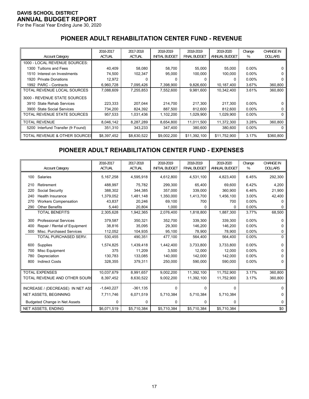For the Fiscal Year Ending June 30, 2020

# **PIONEER ADULT REHABILITATION CENTER FUND - REVENUE**

|                                    | 2016-2017     | 2017-2018     | 2018-2019             | 2018-2019           | 2019-2020     | Change   | <b>CHANGE IN</b> |
|------------------------------------|---------------|---------------|-----------------------|---------------------|---------------|----------|------------------|
| <b>Account Category</b>            | <b>ACTUAL</b> | <b>ACTUAL</b> | <b>INITIAL BUDGET</b> | <b>FINAL BUDGET</b> | ANNUAL BUDGET | %        | <b>DOLLARS</b>   |
| 1000 - LOCAL REVENUE SOURCES:      |               |               |                       |                     |               |          |                  |
| 1300 Tuitions and Fees             | 40,409        | 58,080        | 58,700                | 55,000              | 55,000        | $0.00\%$ |                  |
| 1510 Interest on Investments       | 74,500        | 102,347       | 95,000                | 100,000             | 100,000       | $0.00\%$ | 0                |
| <b>Private Donations</b><br>1920   | 12,972        |               | 0                     |                     | 0             | $0.00\%$ |                  |
| 1992 PARC - Contracts              | 6,960,728     | 7,095,426     | 7,398,900             | 9,826,600           | 10,187,400    | 3.67%    | 360,800          |
| TOTAL REVENUE LOCAL SOURCES        | 7,088,609     | 7,255,853     | 7,552,600             | 9,981,600           | 10,342,400    | 3.61%    | 360,800          |
| 3000 - REVENUE STATE SOURCES       |               |               |                       |                     |               |          |                  |
| 3910 State Rehab Services          | 223,333       | 207,044       | 214,700               | 217.300             | 217.300       | $0.00\%$ | 0                |
| 3900 State Social Services         | 734,200       | 824,392       | 887,500               | 812,600             | 812,600       | $0.00\%$ | 0                |
| TOTAL REVENUE STATE SOURCES        | 957,533       | 1,031,436     | 1,102,200             | 1,029,900           | 1,029,900     | $0.00\%$ | 0                |
| TOTAL REVENUE                      | 8,046,142     | 8,287,289     | 8,654,800             | 11,011,500          | 11,372,300    | 3.28%    | 360,800          |
| 5200 Interfund Transfer (fr Found) | 351,310       | 343,233       | 347,400               | 380,600             | 380,600       | $0.00\%$ | 0                |
| TOTAL REVENUE & OTHER SOURCES      | \$8,397,452   | \$8,630,522   | \$9,002,200           | \$11,392,100        | \$11,752,900  | 3.17%    | \$360,800        |

# **PIONEER ADULT REHABILITATION CENTER FUND - EXPENSES**

|     | <b>Account Category</b>              | 2016-2017<br><b>ACTUAL</b> | 2017-2018<br><b>ACTUAL</b> | 2018-2019<br><b>INITIAL BUDGET</b> | 2018-2019<br><b>FINAL BUDGET</b> | 2019-2020<br><b>ANNUAL BUDGET</b> | Change<br>% | <b>CHANGE IN</b><br><b>DOLLARS</b> |
|-----|--------------------------------------|----------------------------|----------------------------|------------------------------------|----------------------------------|-----------------------------------|-------------|------------------------------------|
| 100 | Salaries                             | 5,167,258                  | 4,595,918                  | 4,612,800                          | 4,531,100                        | 4,823,400                         | 6.45%       | 292,300                            |
| 210 | Retirement                           | 488,997                    | 75,782                     | 299,300                            | 65,400                           | 69.600                            | 6.42%       | 4,200                              |
| 220 | Social Security                      | 388,302                    | 344,385                    | 357,000                            | 339,000                          | 360,900                           | 6.46%       | 21,900                             |
| 240 | Health Insurance                     | 1,379,052                  | 1,481,148                  | 1,350,000                          | 1,413,700                        | 1,456,100                         | 3.00%       | 42,400                             |
| 270 | <b>Workers Compensation</b>          | 43.837                     | 20,246                     | 69.100                             | 700                              | 700                               | 0.00%       | 0                                  |
| 290 | <b>Other Benefits</b>                | 5,440                      | 20,804                     | 1,000                              | 0                                | 0                                 | 0.00%       | 0                                  |
|     | <b>TOTAL BENEFITS</b>                | 2,305,628                  | 1,942,365                  | 2,076,400                          | 1,818,800                        | 1,887,300                         | 3.77%       | 68,500                             |
| 300 | <b>Professional Services</b>         | 379,587                    | 350,321                    | 352,700                            | 339,300                          | 339,300                           | 0.00%       | <sup>0</sup>                       |
| 400 | Repair / Rental of Equipment         | 38.816                     | 35,095                     | 29.300                             | 146,200                          | 146,200                           | 0.00%       | 0                                  |
| 500 | Misc. Purchased Services             | 112,052                    | 104,935                    | 95,100                             | 78,900                           | 78,900                            | 0.00%       | 0                                  |
|     | TOTAL PURCHASED SERV.                | 530,455                    | 490,351                    | 477,100                            | 564,400                          | 564,400                           | 0.00%       | $\Omega$                           |
| 600 | Supplies                             | 1,574,825                  | 1,439,418                  | 1,442,400                          | 3,733,800                        | 3,733,800                         | 0.00%       | 0                                  |
| 700 | Misc Equipment                       | 375                        | 11,209                     | 3,500                              | 12,000                           | 12,000                            | 0.00%       | 0                                  |
| 780 | Depreciation                         | 130,783                    | 133,085                    | 140,000                            | 142,000                          | 142,000                           | 0.00%       |                                    |
| 800 | <b>Indirect Costs</b>                | 328,355                    | 379,311                    | 250,000                            | 590,000                          | 590,000                           | 0.00%       | 0                                  |
|     |                                      |                            |                            |                                    |                                  |                                   |             |                                    |
|     | <b>TOTAL EXPENSES</b>                | 10,037,679                 | 8,991,657                  | 9,002,200                          | 11,392,100                       | 11,752,900                        | 3.17%       | 360,800                            |
|     | TOTAL REVENUE AND OTHER SOUR(        | 8,397,452                  | 8,630,522                  | 9,002,200                          | 11,392,100                       | 11,752,900                        | 3.17%       | 360,800                            |
|     | INCREASE / (DECREASE) IN NET ASS     | $-1,640,227$               | $-361, 135$                | 0                                  | 0                                | $\Omega$                          |             | 0                                  |
|     | <b>NET ASSETS, BEGINNING</b>         | 7,711,746                  | 6,071,519                  | 5,710,384                          | 5,710,384                        | 5,710,384                         |             | 0                                  |
|     | <b>Budgeted Change in Net Assets</b> | 0                          | 0                          | 0                                  | 0                                | 0                                 |             | 0                                  |
|     | <b>NET ASSETS, ENDING</b>            | \$6,071,519                | \$5,710,384                | \$5,710,384                        | \$5,710,384                      | \$5,710,384                       |             | \$0                                |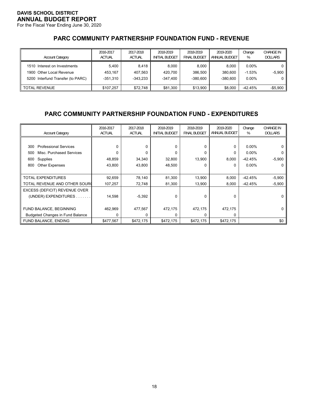For the Fiscal Year Ending June 30, 2020

# **PARC COMMUNITY PARTNERSHIP FOUNDATION FUND - REVENUE**

| <b>Account Category</b>                                                                       | 2016-2017<br><b>ACTUAL</b>     | 2017-2018<br><b>ACTUAL</b>   | 2018-2019<br><b>INITIAL BUDGET</b> | 2018-2019<br><b>FINAL BUDGET</b> | 2019-2020<br>ANNUAL BUDGET     | Change<br>%                      | <b>CHANGE IN</b><br><b>DOLLARS</b> |
|-----------------------------------------------------------------------------------------------|--------------------------------|------------------------------|------------------------------------|----------------------------------|--------------------------------|----------------------------------|------------------------------------|
| 1510 Interest on Investments<br>1900 Other Local Revenue<br>5200 Interfund Transfer (to PARC) | 5.400<br>453.167<br>$-351.310$ | 8.418<br>407.563<br>-343.233 | 8.000<br>420.700<br>$-347.400$     | 8.000<br>386.500<br>$-380.600$   | 8.000<br>380.600<br>$-380.600$ | $0.00\%$<br>$-1.53%$<br>$0.00\%$ | $-5,900$<br>0                      |
| <b>TOTAL REVENUE</b>                                                                          | \$107.257                      | \$72.748                     | \$81,300                           | \$13.900                         | \$8,000                        | $-42.45%$                        | -\$5,900                           |

# **PARC COMMUNITY PARTNERSHIP FOUNDATION FUND - EXPENDITURES**

| <b>Account Category</b>                 | 2016-2017<br><b>ACTUAL</b> | 2017-2018<br><b>ACTUAL</b> | 2018-2019<br><b>INITIAL BUDGET</b> | 2018-2019<br><b>FINAL BUDGET</b> | 2019-2020<br>ANNUAL BUDGET | Change<br>% | <b>CHANGE IN</b><br><b>DOLLARS</b> |
|-----------------------------------------|----------------------------|----------------------------|------------------------------------|----------------------------------|----------------------------|-------------|------------------------------------|
|                                         |                            |                            |                                    |                                  |                            |             |                                    |
| <b>Professional Services</b><br>300     | $\Omega$                   | 0                          | 0                                  | 0                                | 0                          | $0.00\%$    |                                    |
| Misc. Purchased Services<br>500         | $\Omega$                   |                            | 0                                  | 0                                | 0                          | $0.00\%$    |                                    |
| Supplies<br>600                         | 48,859                     | 34,340                     | 32,800                             | 13,900                           | 8,000                      | $-42.45%$   | $-5,900$                           |
| <b>Other Expenses</b><br>800            | 43,800                     | 43,800                     | 48,500                             | 0                                | $\Omega$                   | $0.00\%$    | 0                                  |
|                                         |                            |                            |                                    |                                  |                            |             |                                    |
| <b>TOTAL EXPENDITURES</b>               | 92,659                     | 78,140                     | 81,300                             | 13,900                           | 8,000                      | $-42.45%$   | $-5,900$                           |
| TOTAL REVENUE AND OTHER SOURC           | 107,257                    | 72,748                     | 81,300                             | 13,900                           | 8,000                      | $-42.45%$   | $-5,900$                           |
| EXCESS (DEFICIT) REVENUE OVER           |                            |                            |                                    |                                  |                            |             |                                    |
| (UNDER) EXPENDITURES.                   | 14,598                     | $-5,392$                   | $\Omega$                           | $\Omega$                         | $\Omega$                   |             | 0                                  |
|                                         |                            |                            |                                    |                                  |                            |             |                                    |
| FUND BALANCE, BEGINNING                 | 462,969                    | 477,567                    | 472,175                            | 472,175                          | 472,175                    |             |                                    |
| <b>Budgeted Changes in Fund Balance</b> | 0                          | 0                          | <sup>0</sup>                       | 0                                | 0                          |             |                                    |
| FUND BALANCE, ENDING                    | \$477,567                  | \$472,175                  | \$472,175                          | \$472,175                        | \$472,175                  |             | \$0                                |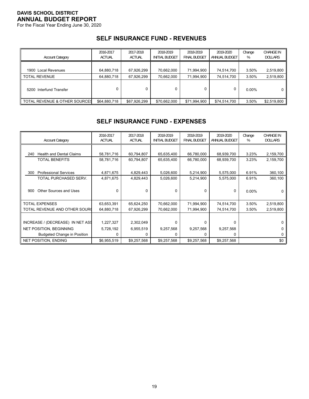For the Fiscal Year Ending June 30, 2020

#### **SELF INSURANCE FUND - REVENUES**

| <b>Account Category</b>       | 2016-2017<br><b>ACTUAL</b> | 2017-2018<br><b>ACTUAL</b> | 2018-2019<br><b>INITIAL BUDGET</b> | 2018-2019<br><b>FINAL BUDGET</b> | 2019-2020<br>ANNUAL BUDGET | Change<br>% | CHANGE IN<br><b>DOLLARS</b> |
|-------------------------------|----------------------------|----------------------------|------------------------------------|----------------------------------|----------------------------|-------------|-----------------------------|
| 1900 Local Revenues           | 64,880,718                 | 67,926,299                 | 70,662,000                         | 71,994,900                       | 74,514,700                 | 3.50%       | 2,519,800                   |
| <b>TOTAL REVENUE</b>          | 64,880,718                 | 67,926,299                 | 70,662,000                         | 71,994,900                       | 74.514.700                 | 3.50%       | 2,519,800                   |
| 5200 Interfund Transfer       |                            |                            |                                    |                                  | 0                          | $0.00\%$    | 0                           |
| TOTAL REVENUE & OTHER SOURCES | \$64,880,718               | \$67,926,299               | \$70,662,000                       | \$71,994,900                     | \$74.514.700               | 3.50%       | \$2,519,800                 |

## **SELF INSURANCE FUND - EXPENSES**

| <b>Account Category</b>                | 2016-2017<br><b>ACTUAL</b> | 2017-2018<br><b>ACTUAL</b> | 2018-2019<br><b>INITIAL BUDGET</b> | 2018-2019<br><b>FINAL BUDGET</b> | 2019-2020<br>ANNUAL BUDGET | Change<br>% | <b>CHANGE IN</b><br><b>DOLLARS</b> |
|----------------------------------------|----------------------------|----------------------------|------------------------------------|----------------------------------|----------------------------|-------------|------------------------------------|
|                                        |                            |                            |                                    |                                  |                            |             |                                    |
| <b>Health and Dental Claims</b><br>240 | 58,781,716                 | 60,794,807                 | 65,635,400                         | 66,780,000                       | 68,939,700                 | 3.23%       | 2,159,700                          |
| <b>TOTAL BENEFITS</b>                  | 58,781,716                 | 60,794,807                 | 65,635,400                         | 66,780,000                       | 68,939,700                 | 3.23%       | 2,159,700                          |
|                                        |                            |                            |                                    |                                  |                            |             |                                    |
| <b>Professional Services</b><br>300    | 4,871,675                  | 4,829,443                  | 5,026,600                          | 5,214,900                        | 5,575,000                  | 6.91%       | 360,100                            |
| TOTAL PURCHASED SERV.                  | 4,871,675                  | 4,829,443                  | 5,026,600                          | 5,214,900                        | 5,575,000                  | 6.91%       | 360,100                            |
|                                        |                            |                            |                                    |                                  |                            |             |                                    |
| Other Sources and Uses<br>900          | 0                          | <sup>0</sup>               | 0                                  | 0                                | 0                          | $0.00\%$    |                                    |
|                                        |                            |                            |                                    |                                  |                            |             |                                    |
| <b>TOTAL EXPENSES</b>                  | 63,653,391                 | 65,624,250                 | 70,662,000                         | 71,994,900                       | 74,514,700                 | 3.50%       | 2,519,800                          |
| TOTAL REVENUE AND OTHER SOURC          | 64,880,718                 | 67,926,299                 | 70,662,000                         | 71,994,900                       | 74,514,700                 | 3.50%       | 2,519,800                          |
|                                        |                            |                            |                                    |                                  |                            |             |                                    |
| INCREASE / (DECREASE) IN NET ASS       | 1,227,327                  | 2,302,049                  | $\Omega$                           | 0                                | $\Omega$                   |             |                                    |
| <b>NET POSITION, BEGINNING</b>         | 5,728,192                  | 6,955,519                  | 9,257,568                          | 9,257,568                        | 9,257,568                  |             | 0                                  |
| <b>Budgeted Change in Position</b>     | 0                          | 0                          | $\Omega$                           | 0                                | $\Omega$                   |             | 0                                  |
| <b>NET POSITION, ENDING</b>            | \$6,955,519                | \$9,257,568                | \$9,257,568                        | \$9,257,568                      | \$9,257,568                |             | \$0                                |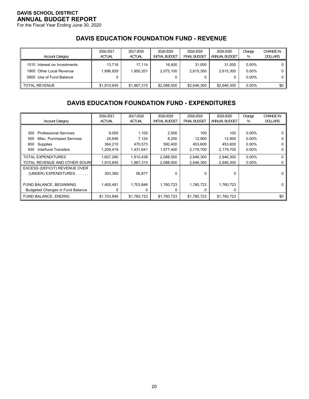For the Fiscal Year Ending June 30, 2020

# **DAVIS EDUCATION FOUNDATION FUND - REVENUE**

| <b>Account Category</b>                                                              | 2016-2017<br><b>ACTUAL</b> | 2017-2018<br><b>ACTUAL</b> | 2018-2019<br>INITIAL BUDGET | 2018-2019<br>FINAL BUDGET | 2019-2020<br>ANNUAL BUDGET | Change<br>%                      | CHANGE IN<br><b>DOLLARS</b> |
|--------------------------------------------------------------------------------------|----------------------------|----------------------------|-----------------------------|---------------------------|----------------------------|----------------------------------|-----------------------------|
| 1510 Interest on Investments<br>1900 Other Local Revenue<br>5800 Use of Fund Balance | 13.716<br>1.896.929        | 17.114<br>1.950.201        | 16.400<br>2.072.100         | 31.000<br>2.615.300<br>0  | 31.000<br>2.615.300<br>0   | $0.00\%$<br>$0.00\%$<br>$0.00\%$ |                             |
| <b>TOTAL REVENUE</b>                                                                 | \$1.910.645                | \$1.967.315                | \$2,088,500                 | \$2,646,300               | \$2,646,300                | $0.00\%$                         | \$0                         |

# **DAVIS EDUCATION FOUNDATION FUND - EXPENDITURES**

| <b>Account Category</b>                 | 2016-2017<br><b>ACTUAL</b> | 2017-2018<br><b>ACTUAL</b> | 2018-2019<br><b>INITIAL BUDGET</b> | 2018-2019<br><b>FINAL BUDGET</b> | 2019-2020<br>ANNUAL BUDGET | Change<br>% | <b>CHANGE IN</b><br><b>DOLLARS</b> |
|-----------------------------------------|----------------------------|----------------------------|------------------------------------|----------------------------------|----------------------------|-------------|------------------------------------|
|                                         |                            |                            |                                    |                                  |                            |             |                                    |
| <b>Professional Services</b><br>300     | 9,005                      | 1,100                      | 2,500                              | 100                              | 100                        | $0.00\%$    |                                    |
| Misc. Purchased Services<br>500         | 24,646                     | 7,124                      | 8,200                              | 12,900                           | 12,900                     | $0.00\%$    | 0                                  |
| Supplies<br>600                         | 364,210                    | 470,573                    | 500,400                            | 453,600                          | 453,600                    | $0.00\%$    |                                    |
| <b>Interfund Transfers</b><br>930       | 1,209,419                  | 1,431,641                  | 1,577,400                          | 2,179,700                        | 2,179,700                  | $0.00\%$    |                                    |
| <b>TOTAL EXPENDITURES</b>               | 1,607,280                  | 1,910,438                  | 2,088,500                          | 2,646,300                        | 2,646,300                  | $0.00\%$    | 0                                  |
| TOTAL REVENUE AND OTHER SOURC           | 1,910,645                  | 1,967,315                  | 2,088,500                          | 2,646,300                        | 2,646,300                  | $0.00\%$    |                                    |
| EXCESS (DEFICIT) REVENUE OVER           |                            |                            |                                    |                                  |                            |             |                                    |
| (UNDER) EXPENDITURES                    | 303,365                    | 56,877                     | $\Omega$                           | 0                                | $\Omega$                   |             |                                    |
|                                         |                            |                            |                                    |                                  |                            |             |                                    |
| FUND BALANCE, BEGINNING                 | 1,400,481                  | 1,703,846                  | 1,760,723                          | 1,760,723                        | 1,760,723                  |             | 0                                  |
| <b>Budgeted Changes in Fund Balance</b> | 0                          |                            | $\Omega$                           | 0                                | 0                          |             |                                    |
| <b>FUND BALANCE, ENDING</b>             | \$1,703,846                | \$1,760,723                | \$1,760,723                        | \$1,760,723                      | \$1,760,723                |             | \$0                                |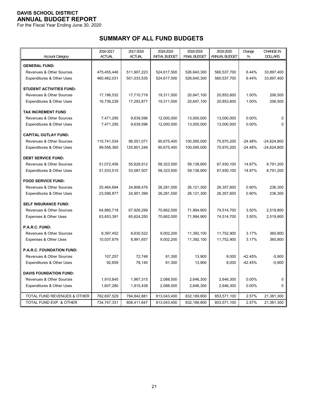For the Fiscal Year Ending June 30, 2020

# **SUMMARY OF ALL FUND BUDGETS**

|                                     | 2016-2017     | 2017-2018     | 2018-2019             | 2018-2019           | 2019-2020     | Change    | <b>CHANGE IN</b> |
|-------------------------------------|---------------|---------------|-----------------------|---------------------|---------------|-----------|------------------|
| <b>Account Category</b>             | <b>ACTUAL</b> | <b>ACTUAL</b> | <b>INITIAL BUDGET</b> | <b>FINAL BUDGET</b> | ANNUAL BUDGET | %         | <b>DOLLARS</b>   |
| <b>GENERAL FUND:</b>                |               |               |                       |                     |               |           |                  |
| <b>Revenues &amp; Other Sources</b> | 475,455,446   | 511,907,223   | 524,617,500           | 526,640,300         | 560,537,700   | 6.44%     | 33,897,400       |
| Expenditures & Other Uses           | 460,462,031   | 501,033,535   | 524,617,500           | 526,640,300         | 560,537,700   | 6.44%     | 33,897,400       |
|                                     |               |               |                       |                     |               |           |                  |
| <b>STUDENT ACTIVITIES FUND:</b>     |               |               |                       |                     |               |           |                  |
| <b>Revenues &amp; Other Sources</b> | 17,196,532    | 17,710,719    | 19,311,500            | 20,647,100          | 20,853,600    | 1.00%     | 206,500          |
| Expenditures & Other Uses           | 16,736,239    | 17,293,877    | 19,311,500            | 20,647,100          | 20,853,600    | 1.00%     | 206,500          |
| <b>TAX INCREMENT FUND</b>           |               |               |                       |                     |               |           |                  |
| Revenues & Other Sources            | 7,471,295     | 9,639,596     | 12,000,000            | 13,000,000          | 13,000,000    | 0.00%     | $\Omega$         |
| Expenditures & Other Uses           | 7,471,295     | 9,639,596     | 12,000,000            | 13,000,000          | 13,000,000    | 0.00%     | $\Omega$         |
|                                     |               |               |                       |                     |               |           |                  |
| <b>CAPITAL OUTLAY FUND:</b>         |               |               |                       |                     |               |           |                  |
| Revenues & Other Sources            | 110,741,034   | 96,551,071    | 90,675,400            | 100,595,000         | 75,970,200    | $-24.48%$ | $-24,624,800$    |
| Expenditures & Other Uses           | 99,556,365    | 125,801,248   | 90,675,400            | 100,595,000         | 75,970,200    | $-24.48%$ | $-24,624,800$    |
| <b>DEBT SERVICE FUND:</b>           |               |               |                       |                     |               |           |                  |
| <b>Revenues &amp; Other Sources</b> | 51,072,456    | 55,628,912    | 58,323,500            | 59,138,900          | 67,930,100    | 14.87%    | 8,791,200        |
| Expenditures & Other Uses           | 51,533,515    | 53,087,507    | 58,323,500            | 59,138,900          | 67,930,100    | 14.87%    | 8,791,200        |
| <b>FOOD SERVICE FUND:</b>           |               |               |                       |                     |               |           |                  |
| Revenues & Other Sources            | 25,464,694    | 24,808,476    | 26,281,500            | 26,121,300          | 26,357,600    | 0.90%     | 236,300          |
| Expenditures & Other Uses           | 23,596,877    | 24,951,399    | 26,281,500            | 26,121,300          | 26,357,600    | 0.90%     | 236,300          |
|                                     |               |               |                       |                     |               |           |                  |
| <b>SELF INSURANCE FUND:</b>         |               |               |                       |                     |               |           |                  |
| Revenues & Other Sources            | 64,880,718    | 67,926,299    | 70,662,000            | 71,994,900          | 74,514,700    | 3.50%     | 2,519,800        |
| Expenses & Other Uses               | 63,653,391    | 65,624,250    | 70,662,000            | 71,994,900          | 74,514,700    | 3.50%     | 2,519,800        |
| P.A.R.C. FUND:                      |               |               |                       |                     |               |           |                  |
| Revenues & Other Sources            | 8,397,452     | 8,630,522     | 9,002,200             | 11,392,100          | 11,752,900    | 3.17%     | 360,800          |
| Expenses & Other Uses               | 10,037,679    | 8,991,657     | 9,002,200             | 11,392,100          | 11,752,900    | 3.17%     | 360,800          |
|                                     |               |               |                       |                     |               |           |                  |
| P.A.R.C. FOUNDATION FUND:           |               |               |                       |                     |               |           |                  |
| Revenues & Other Sources            | 107,257       | 72,748        | 81,300                | 13,900              | 8,000         | $-42.45%$ | $-5,900$         |
| Expenditures & Other Uses           | 92,659        | 78,140        | 81,300                | 13,900              | 8,000         | $-42.45%$ | $-5,900$         |
| <b>DAVIS FOUNDATION FUND:</b>       |               |               |                       |                     |               |           |                  |
| Revenues & Other Sources            | 1,910,645     | 1,967,315     | 2,088,500             | 2,646,300           | 2,646,300     | 0.00%     | 0                |
| Expenditures & Other Uses           | 1,607,280     | 1,910,438     | 2,088,500             | 2,646,300           | 2,646,300     | 0.00%     | 0                |
|                                     |               |               |                       |                     |               |           |                  |
| TOTAL FUND REVENUES & OTHER         | 762,697,529   | 794,842,881   | 813,043,400           | 832,189,800         | 853,571,100   | 2.57%     | 21,381,300       |
| TOTAL FUND EXP. & OTHER             | 734,747,331   | 808,411,647   | 813,043,400           | 832,189,800         | 853,571,100   | 2.57%     | 21,381,300       |